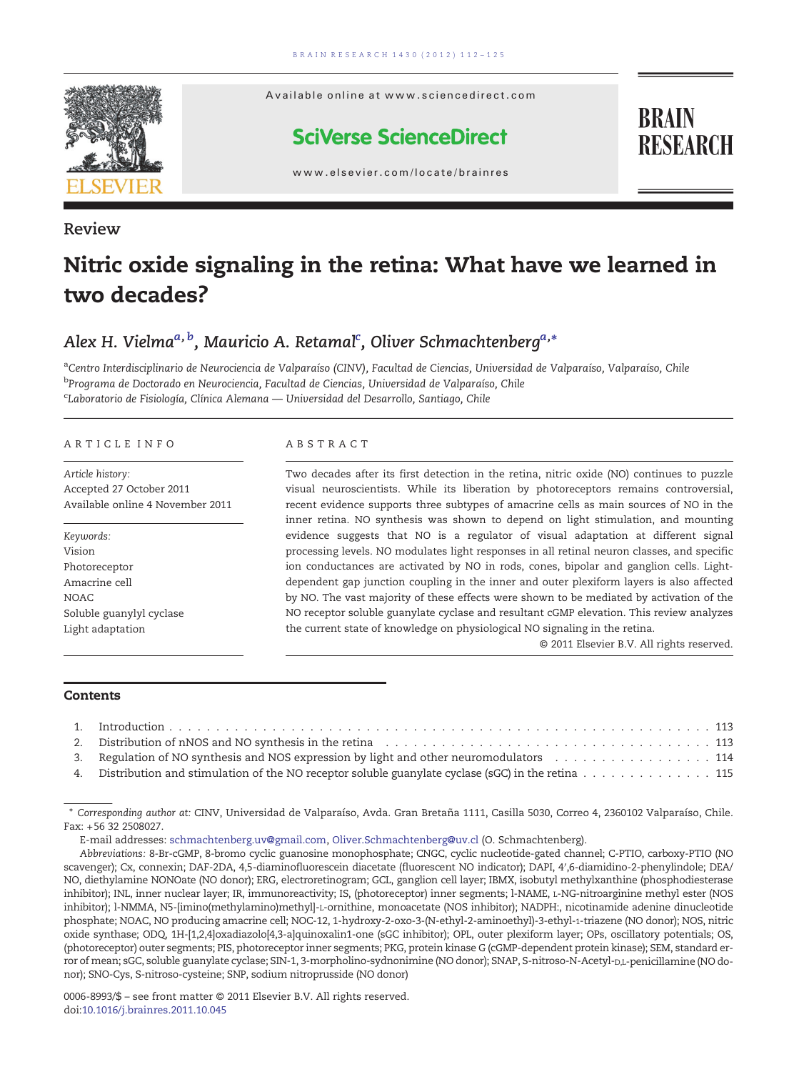

Review

Available online at www.sciencedirect.com

### **SciVerse ScienceDirect**

**BRAIN RESEARCH** 

www.elsevier.com/locate/brainres

# Nitric oxide signaling in the retina: What have we learned in two decades?

# Alex H. Vielma<sup>a, b</sup>, Mauricio A. Retamal<sup>c</sup>, Oliver Schmachtenberg<sup>a,</sup>\*<br>.

<sup>a</sup>Centro Interdisciplinario de Neurociencia de Valparaíso (CINV), Facultad de Ciencias, Universidad de Valparaíso, Valparaíso, Chile <sup>b</sup>Programa de Doctorado en Neurociencia, Facultad de Ciencias, Universidad de Valparaíso, Chile <sup>c</sup>Laboratorio de Fisiología, Clínica Alemana — Universidad del Desarrollo, Santiago, Chile

#### ARTICLE INFO ABSTRACT

Article history: Accepted 27 October 2011 Available online 4 November 2011

Keywords: Vision Photoreceptor Amacrine cell NOAC Soluble guanylyl cyclase Light adaptation

Two decades after its first detection in the retina, nitric oxide (NO) continues to puzzle visual neuroscientists. While its liberation by photoreceptors remains controversial, recent evidence supports three subtypes of amacrine cells as main sources of NO in the inner retina. NO synthesis was shown to depend on light stimulation, and mounting evidence suggests that NO is a regulator of visual adaptation at different signal processing levels. NO modulates light responses in all retinal neuron classes, and specific ion conductances are activated by NO in rods, cones, bipolar and ganglion cells. Lightdependent gap junction coupling in the inner and outer plexiform layers is also affected by NO. The vast majority of these effects were shown to be mediated by activation of the NO receptor soluble guanylate cyclase and resultant cGMP elevation. This review analyzes the current state of knowledge on physiological NO signaling in the retina.

© 2011 Elsevier B.V. All rights reserved.

#### **Contents**

| 3. Regulation of NO synthesis and NOS expression by light and other neuromodulators 114              |  |
|------------------------------------------------------------------------------------------------------|--|
| 4. Distribution and stimulation of the NO receptor soluble guanylate cyclase (sGC) in the retina 115 |  |

E-mail addresses: [schmachtenberg.uv@gmail.com,](mailto:schmachtenberg.uv@gmail.com) [Oliver.Schmachtenberg@uv.cl](mailto:Oliver.Schmachtenberg@uv.cl) (O. Schmachtenberg).

Abbreviations: 8-Br-cGMP, 8-bromo cyclic guanosine monophosphate; CNGC, cyclic nucleotide-gated channel; C-PTIO, carboxy-PTIO (NO scavenger); Cx, connexin; DAF-2DA, 4,5-diaminofluorescein diacetate (fluorescent NO indicator); DAPI, 4′,6-diamidino-2-phenylindole; DEA/ NO, diethylamine NONOate (NO donor); ERG, electroretinogram; GCL, ganglion cell layer; IBMX, isobutyl methylxanthine (phosphodiesterase inhibitor); INL, inner nuclear layer; IR, immunoreactivity; IS, (photoreceptor) inner segments; l-NAME, L-NG-nitroarginine methyl ester (NOS inhibitor); l-NMMA, N5-[imino(methylamino)methyl]-L-ornithine, monoacetate (NOS inhibitor); NADPH:, nicotinamide adenine dinucleotide phosphate; NOAC, NO producing amacrine cell; NOC-12, 1-hydroxy-2-oxo-3-(N-ethyl-2-aminoethyl)-3-ethyl-1-triazene (NO donor); NOS, nitric oxide synthase; ODQ, 1H-[1,2,4]oxadiazolo[4,3-a]quinoxalin1-one (sGC inhibitor); OPL, outer plexiform layer; OPs, oscillatory potentials; OS, (photoreceptor) outer segments; PIS, photoreceptor inner segments; PKG, protein kinase G (cGMP-dependent protein kinase); SEM, standard error of mean; sGC, soluble guanylate cyclase; SIN-1, 3-morpholino-sydnonimine (NO donor); SNAP, S-nitroso-N-Acetyl-D,L-penicillamine (NO donor); SNO-Cys, S-nitroso-cysteine; SNP, sodium nitroprusside (NO donor)

<sup>⁎</sup> Corresponding author at: CINV, Universidad de Valparaíso, Avda. Gran Bretaña 1111, Casilla 5030, Correo 4, 2360102 Valparaíso, Chile. Fax: +56 32 2508027.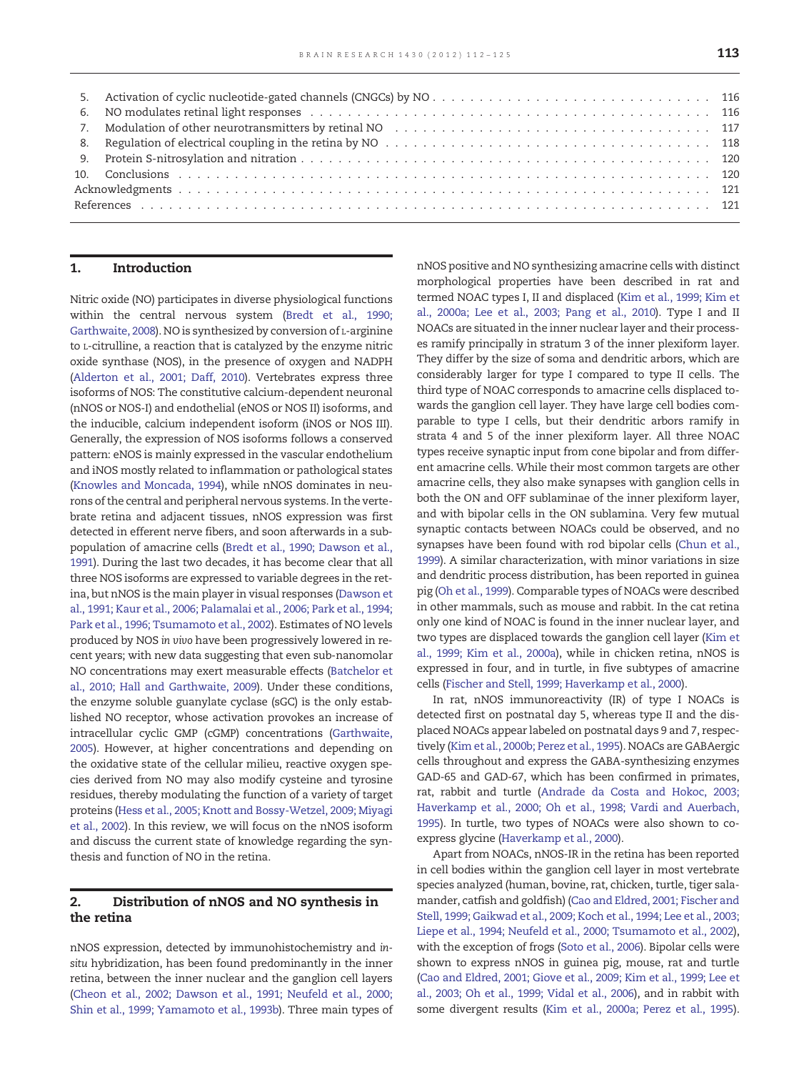#### 1. Introduction

Nitric oxide (NO) participates in diverse physiological functions within the central nervous system ([Bredt et al., 1990;](#page-9-0) [Garthwaite, 2008](#page-9-0)). NO is synthesized by conversion of L-arginine to L-citrulline, a reaction that is catalyzed by the enzyme nitric oxide synthase (NOS), in the presence of oxygen and NADPH [\(Alderton et al., 2001; Daff, 2010](#page-9-0)). Vertebrates express three isoforms of NOS: The constitutive calcium-dependent neuronal (nNOS or NOS-I) and endothelial (eNOS or NOS II) isoforms, and the inducible, calcium independent isoform (iNOS or NOS III). Generally, the expression of NOS isoforms follows a conserved pattern: eNOS is mainly expressed in the vascular endothelium and iNOS mostly related to inflammation or pathological states [\(Knowles and Moncada, 1994\)](#page-11-0), while nNOS dominates in neurons of the central and peripheral nervous systems. In the vertebrate retina and adjacent tissues, nNOS expression was first detected in efferent nerve fibers, and soon afterwards in a subpopulation of amacrine cells [\(Bredt et al., 1990; Dawson et al.,](#page-9-0) [1991](#page-9-0)). During the last two decades, it has become clear that all three NOS isoforms are expressed to variable degrees in the retina, but nNOS is the main player in visual responses [\(Dawson et](#page-10-0) [al., 1991; Kaur et al., 2006; Palamalai et al., 2006; Park et al., 1994;](#page-10-0) [Park et al., 1996; Tsumamoto et al., 2002\)](#page-10-0). Estimates of NO levels produced by NOS in vivo have been progressively lowered in recent years; with new data suggesting that even sub-nanomolar NO concentrations may exert measurable effects [\(Batchelor et](#page-9-0) [al., 2010; Hall and Garthwaite, 2009](#page-9-0)). Under these conditions, the enzyme soluble guanylate cyclase (sGC) is the only established NO receptor, whose activation provokes an increase of intracellular cyclic GMP (cGMP) concentrations [\(Garthwaite,](#page-10-0) [2005](#page-10-0)). However, at higher concentrations and depending on the oxidative state of the cellular milieu, reactive oxygen species derived from NO may also modify cysteine and tyrosine residues, thereby modulating the function of a variety of target proteins ([Hess et al., 2005; Knott and Bossy-Wetzel, 2009; Miyagi](#page-10-0) [et al., 2002](#page-10-0)). In this review, we will focus on the nNOS isoform and discuss the current state of knowledge regarding the synthesis and function of NO in the retina.

#### 2. Distribution of nNOS and NO synthesis in the retina

nNOS expression, detected by immunohistochemistry and insitu hybridization, has been found predominantly in the inner retina, between the inner nuclear and the ganglion cell layers [\(Cheon et al., 2002; Dawson et al., 1991; Neufeld et al., 2000;](#page-9-0) [Shin et al., 1999; Yamamoto et al., 1993b](#page-9-0)). Three main types of nNOS positive and NO synthesizing amacrine cells with distinct morphological properties have been described in rat and termed NOAC types I, II and displaced ([Kim et al., 1999; Kim et](#page-11-0) [al., 2000a; Lee et al., 2003; Pang et al., 2010\)](#page-11-0). Type I and II NOACs are situated in the inner nuclear layer and their processes ramify principally in stratum 3 of the inner plexiform layer. They differ by the size of soma and dendritic arbors, which are considerably larger for type I compared to type II cells. The third type of NOAC corresponds to amacrine cells displaced towards the ganglion cell layer. They have large cell bodies comparable to type I cells, but their dendritic arbors ramify in strata 4 and 5 of the inner plexiform layer. All three NOAC types receive synaptic input from cone bipolar and from different amacrine cells. While their most common targets are other amacrine cells, they also make synapses with ganglion cells in both the ON and OFF sublaminae of the inner plexiform layer, and with bipolar cells in the ON sublamina. Very few mutual synaptic contacts between NOACs could be observed, and no synapses have been found with rod bipolar cells [\(Chun et al.,](#page-9-0) [1999](#page-9-0)). A similar characterization, with minor variations in size and dendritic process distribution, has been reported in guinea pig ([Oh et al., 1999\)](#page-11-0). Comparable types of NOACs were described in other mammals, such as mouse and rabbit. In the cat retina only one kind of NOAC is found in the inner nuclear layer, and two types are displaced towards the ganglion cell layer ([Kim et](#page-11-0) [al., 1999; Kim et al., 2000a\)](#page-11-0), while in chicken retina, nNOS is expressed in four, and in turtle, in five subtypes of amacrine cells [\(Fischer and Stell, 1999; Haverkamp et al., 2000\)](#page-10-0).

In rat, nNOS immunoreactivity (IR) of type I NOACs is detected first on postnatal day 5, whereas type II and the displaced NOACs appear labeled on postnatal days 9 and 7, respectively [\(Kim et al., 2000b; Perez et al., 1995](#page-11-0)). NOACs are GABAergic cells throughout and express the GABA-synthesizing enzymes GAD-65 and GAD-67, which has been confirmed in primates, rat, rabbit and turtle ([Andrade da Costa and Hokoc, 2003;](#page-9-0) [Haverkamp et al., 2000; Oh et al., 1998; Vardi and Auerbach,](#page-9-0) [1995](#page-9-0)). In turtle, two types of NOACs were also shown to coexpress glycine ([Haverkamp et al., 2000\)](#page-10-0).

Apart from NOACs, nNOS-IR in the retina has been reported in cell bodies within the ganglion cell layer in most vertebrate species analyzed (human, bovine, rat, chicken, turtle, tiger salamander, catfish and goldfish) [\(Cao and Eldred, 2001; Fischer and](#page-9-0) [Stell, 1999; Gaikwad et al., 2009; Koch et al., 1994; Lee et al., 2003;](#page-9-0) [Liepe et al., 1994; Neufeld et al., 2000; Tsumamoto et al., 2002](#page-9-0)), with the exception of frogs ([Soto et al., 2006](#page-12-0)). Bipolar cells were shown to express nNOS in guinea pig, mouse, rat and turtle [\(Cao and Eldred, 2001; Giove et al., 2009; Kim et al., 1999; Lee et](#page-9-0) [al., 2003; Oh et al., 1999; Vidal et al., 2006\)](#page-9-0), and in rabbit with some divergent results ([Kim et al., 2000a; Perez et al., 1995](#page-11-0)).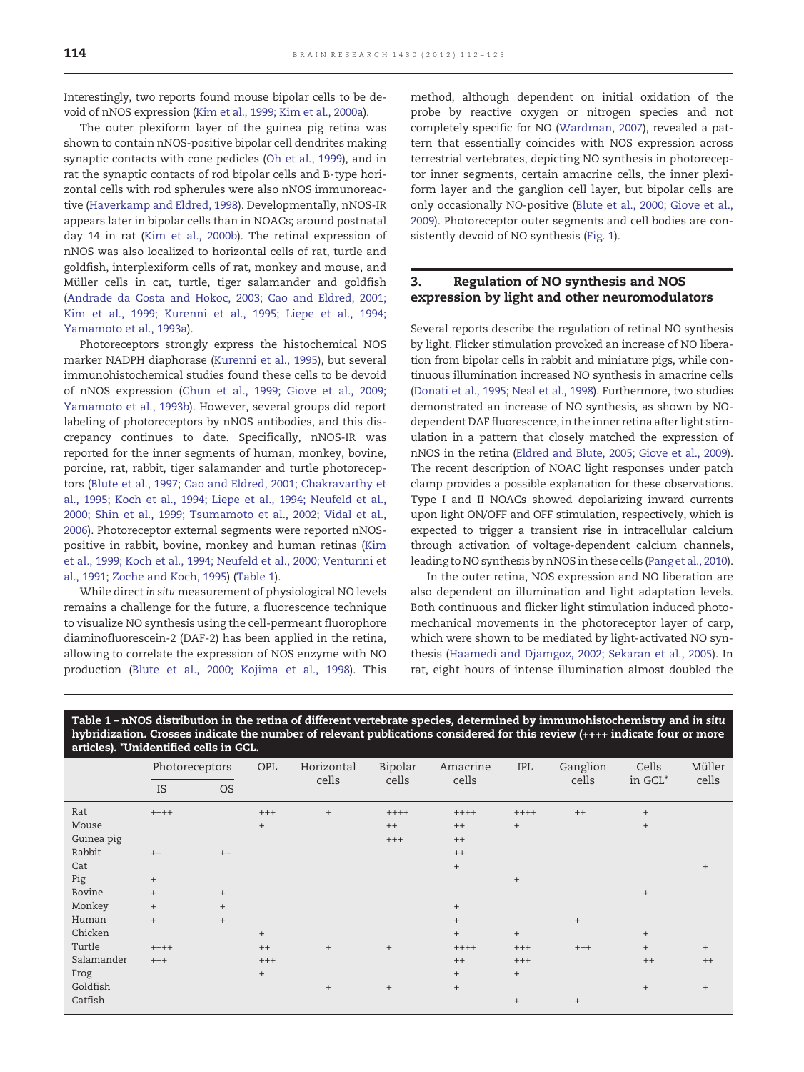Interestingly, two reports found mouse bipolar cells to be devoid of nNOS expression [\(Kim et al., 1999; Kim et al., 2000a](#page-11-0)).

The outer plexiform layer of the guinea pig retina was shown to contain nNOS-positive bipolar cell dendrites making synaptic contacts with cone pedicles [\(Oh et al., 1999](#page-11-0)), and in rat the synaptic contacts of rod bipolar cells and B-type horizontal cells with rod spherules were also nNOS immunoreactive [\(Haverkamp and Eldred, 1998](#page-10-0)). Developmentally, nNOS-IR appears later in bipolar cells than in NOACs; around postnatal day 14 in rat [\(Kim et al., 2000b\)](#page-11-0). The retinal expression of nNOS was also localized to horizontal cells of rat, turtle and goldfish, interplexiform cells of rat, monkey and mouse, and Müller cells in cat, turtle, tiger salamander and goldfish ([Andrade da Costa and Hokoc, 2003; Cao and Eldred, 2001;](#page-9-0) [Kim et al., 1999; Kurenni et al., 1995; Liepe et al., 1994;](#page-9-0) [Yamamoto et al., 1993a\)](#page-9-0).

Photoreceptors strongly express the histochemical NOS marker NADPH diaphorase ([Kurenni et al., 1995](#page-11-0)), but several immunohistochemical studies found these cells to be devoid of nNOS expression [\(Chun et al., 1999; Giove et al., 2009;](#page-9-0) [Yamamoto et al., 1993b](#page-9-0)). However, several groups did report labeling of photoreceptors by nNOS antibodies, and this discrepancy continues to date. Specifically, nNOS-IR was reported for the inner segments of human, monkey, bovine, porcine, rat, rabbit, tiger salamander and turtle photoreceptors [\(Blute et al., 1997; Cao and Eldred, 2001; Chakravarthy et](#page-9-0) [al., 1995; Koch et al., 1994; Liepe et al., 1994; Neufeld et al.,](#page-9-0) [2000; Shin et al., 1999; Tsumamoto et al., 2002; Vidal et al.,](#page-9-0) [2006\)](#page-9-0). Photoreceptor external segments were reported nNOSpositive in rabbit, bovine, monkey and human retinas [\(Kim](#page-11-0) [et al., 1999; Koch et al., 1994; Neufeld et al., 2000; Venturini et](#page-11-0) [al., 1991; Zoche and Koch, 1995](#page-11-0)) (Table 1).

While direct in situ measurement of physiological NO levels remains a challenge for the future, a fluorescence technique to visualize NO synthesis using the cell-permeant fluorophore diaminofluorescein-2 (DAF-2) has been applied in the retina, allowing to correlate the expression of NOS enzyme with NO production [\(Blute et al., 2000; Kojima et al., 1998](#page-9-0)). This method, although dependent on initial oxidation of the probe by reactive oxygen or nitrogen species and not completely specific for NO [\(Wardman, 2007](#page-12-0)), revealed a pattern that essentially coincides with NOS expression across terrestrial vertebrates, depicting NO synthesis in photoreceptor inner segments, certain amacrine cells, the inner plexiform layer and the ganglion cell layer, but bipolar cells are only occasionally NO-positive ([Blute et al., 2000; Giove et al.,](#page-9-0) [2009\)](#page-9-0). Photoreceptor outer segments and cell bodies are consistently devoid of NO synthesis ([Fig. 1](#page-3-0)).

#### 3. Regulation of NO synthesis and NOS expression by light and other neuromodulators

Several reports describe the regulation of retinal NO synthesis by light. Flicker stimulation provoked an increase of NO liberation from bipolar cells in rabbit and miniature pigs, while continuous illumination increased NO synthesis in amacrine cells ([Donati et al., 1995; Neal et al., 1998](#page-10-0)). Furthermore, two studies demonstrated an increase of NO synthesis, as shown by NOdependent DAF fluorescence, in the inner retina after light stimulation in a pattern that closely matched the expression of nNOS in the retina ([Eldred and Blute, 2005; Giove et al., 2009\)](#page-10-0). The recent description of NOAC light responses under patch clamp provides a possible explanation for these observations. Type I and II NOACs showed depolarizing inward currents upon light ON/OFF and OFF stimulation, respectively, which is expected to trigger a transient rise in intracellular calcium through activation of voltage-dependent calcium channels, leading to NO synthesis by nNOS in these cells [\(Pang et al., 2010\)](#page-12-0).

In the outer retina, NOS expression and NO liberation are also dependent on illumination and light adaptation levels. Both continuous and flicker light stimulation induced photomechanical movements in the photoreceptor layer of carp, which were shown to be mediated by light-activated NO synthesis [\(Haamedi and Djamgoz, 2002; Sekaran et al., 2005\)](#page-10-0). In rat, eight hours of intense illumination almost doubled the

Table 1 – nNOS distribution in the retina of different vertebrate species, determined by immunohistochemistry and in situ hybridization. Crosses indicate the number of relevant publications considered for this review (++++ indicate four or more articles). \*Unidentified cells in GCL.

|            | Photoreceptors |           | OPL      | Horizontal<br>cells              | Bipolar<br>cells                 | Amacrine<br>cells | <b>IPL</b>        | Ganglion<br>cells | Cells<br>in GCL* | Müller<br>cells |
|------------|----------------|-----------|----------|----------------------------------|----------------------------------|-------------------|-------------------|-------------------|------------------|-----------------|
|            | <b>IS</b>      | <b>OS</b> |          |                                  |                                  |                   |                   |                   |                  |                 |
| Rat        | $+++++$        |           | $^{+++}$ | $\! + \!\!\!\!$                  | $+++++$                          | $+++++$           | $++++$            | $+ +$             | $+$              |                 |
| Mouse      |                |           | $^{+}$   |                                  | $^{++}$                          | $^{++}$           | $^+$              |                   | $^{+}$           |                 |
| Guinea pig |                |           |          |                                  | $^{+++}$                         | $++$              |                   |                   |                  |                 |
| Rabbit     | $++$           | $++$      |          |                                  |                                  | $++$              |                   |                   |                  |                 |
| Cat        |                |           |          |                                  |                                  | $+$               |                   |                   |                  | $^{+}$          |
| Pig        | $+$            |           |          |                                  |                                  |                   | $\qquad \qquad +$ |                   |                  |                 |
| Bovine     | $+$            | $+$       |          |                                  |                                  |                   |                   |                   | $+$              |                 |
| Monkey     | $+$            | $+$       |          |                                  |                                  | $+$               |                   |                   |                  |                 |
| Human      | $+$            | $+$       |          |                                  |                                  | $+$               |                   | $^{+}$            |                  |                 |
| Chicken    |                |           | $^{+}$   |                                  |                                  | $+$               | $^+$              |                   | $+$              |                 |
| Turtle     | $+++++$        |           | $++$     | $\! + \!\!\!\!$                  | $+$                              | $++++$            | $^{+++}$          | $^{+++}$          | $^{+}$           | $+$             |
| Salamander | $^{+++}$       |           | $^{+++}$ |                                  |                                  | $++$              | $^{+++}$          |                   | $++$             | $^{++}$         |
| Frog       |                |           | $+$      |                                  |                                  | $+$               | $+$               |                   |                  |                 |
| Goldfish   |                |           |          | $\begin{array}{c} + \end{array}$ | $\begin{array}{c} + \end{array}$ | $+$               |                   |                   | $+$              | $+$             |
| Catfish    |                |           |          |                                  |                                  |                   | $+$               | $+$               |                  |                 |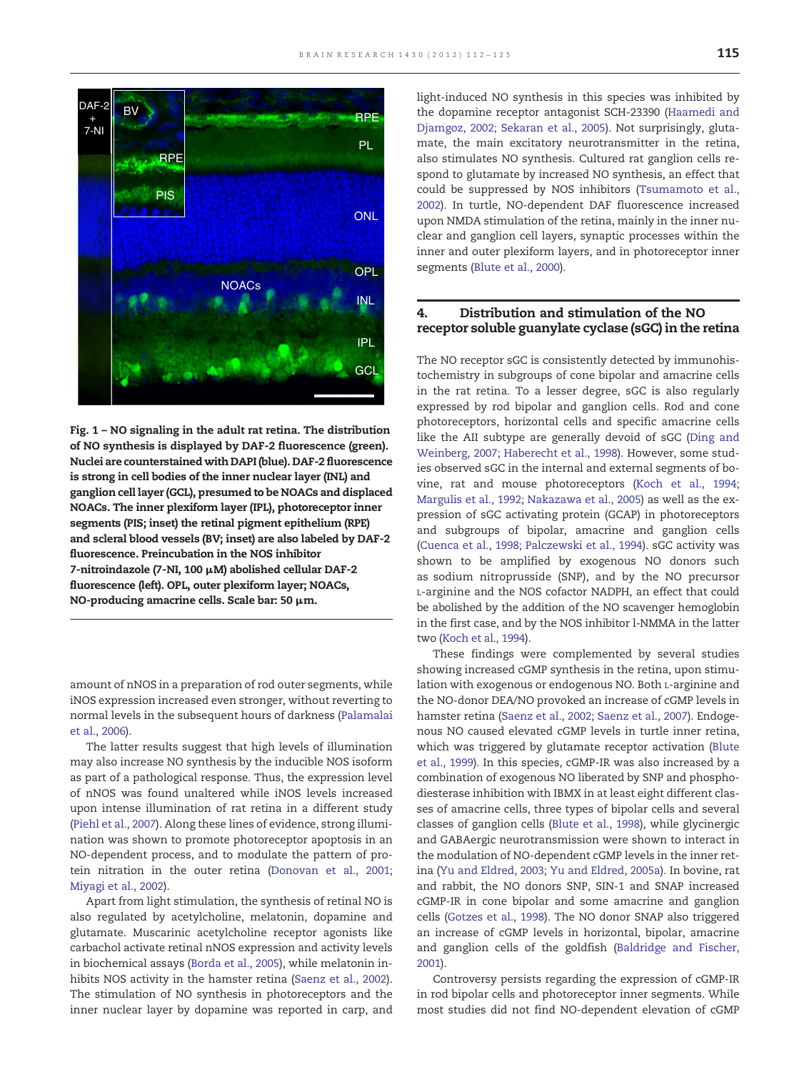<span id="page-3-0"></span>

Fig. 1 – NO signaling in the adult rat retina. The distribution of NO synthesis is displayed by DAF-2 fluorescence (green). Nuclei are counterstained with DAPI (blue). DAF-2 fluorescence is strong in cell bodies of the inner nuclear layer (INL) and ganglion cell layer (GCL), presumed to be NOACs and displaced NOACs. The inner plexiform layer (IPL), photoreceptor inner segments (PIS; inset) the retinal pigment epithelium (RPE) and scleral blood vessels (BV; inset) are also labeled by DAF-2 fluorescence. Preincubation in the NOS inhibitor 7-nitroindazole (7-NI, 100 μM) abolished cellular DAF-2 fluorescence (left). OPL, outer plexiform layer; NOACs, NO-producing amacrine cells. Scale bar: 50 μm.

amount of nNOS in a preparation of rod outer segments, while iNOS expression increased even stronger, without reverting to normal levels in the subsequent hours of darkness ([Palamalai](#page-12-0) [et al., 2006\)](#page-12-0).

The latter results suggest that high levels of illumination may also increase NO synthesis by the inducible NOS isoform as part of a pathological response. Thus, the expression level of nNOS was found unaltered while iNOS levels increased upon intense illumination of rat retina in a different study [\(Piehl et al., 2007](#page-12-0)). Along these lines of evidence, strong illumination was shown to promote photoreceptor apoptosis in an NO-dependent process, and to modulate the pattern of protein nitration in the outer retina ([Donovan et al., 2001;](#page-10-0) [Miyagi et al., 2002](#page-10-0)).

Apart from light stimulation, the synthesis of retinal NO is also regulated by acetylcholine, melatonin, dopamine and glutamate. Muscarinic acetylcholine receptor agonists like carbachol activate retinal nNOS expression and activity levels in biochemical assays [\(Borda et al., 2005\)](#page-9-0), while melatonin inhibits NOS activity in the hamster retina [\(Saenz et al., 2002](#page-12-0)). The stimulation of NO synthesis in photoreceptors and the inner nuclear layer by dopamine was reported in carp, and light-induced NO synthesis in this species was inhibited by the dopamine receptor antagonist SCH-23390 ([Haamedi and](#page-10-0) [Djamgoz, 2002; Sekaran et al., 2005](#page-10-0)). Not surprisingly, glutamate, the main excitatory neurotransmitter in the retina, also stimulates NO synthesis. Cultured rat ganglion cells respond to glutamate by increased NO synthesis, an effect that could be suppressed by NOS inhibitors ([Tsumamoto et al.,](#page-12-0) [2002](#page-12-0)). In turtle, NO-dependent DAF fluorescence increased upon NMDA stimulation of the retina, mainly in the inner nuclear and ganglion cell layers, synaptic processes within the inner and outer plexiform layers, and in photoreceptor inner segments [\(Blute et al., 2000\)](#page-9-0).

#### 4. Distribution and stimulation of the NO receptor soluble guanylate cyclase (sGC) in the retina

The NO receptor sGC is consistently detected by immunohistochemistry in subgroups of cone bipolar and amacrine cells in the rat retina. To a lesser degree, sGC is also regularly expressed by rod bipolar and ganglion cells. Rod and cone photoreceptors, horizontal cells and specific amacrine cells like the AII subtype are generally devoid of sGC [\(Ding and](#page-10-0) [Weinberg, 2007; Haberecht et al., 1998\)](#page-10-0). However, some studies observed sGC in the internal and external segments of bovine, rat and mouse photoreceptors ([Koch et al., 1994;](#page-11-0) [Margulis et al., 1992; Nakazawa et al., 2005\)](#page-11-0) as well as the expression of sGC activating protein (GCAP) in photoreceptors and subgroups of bipolar, amacrine and ganglion cells [\(Cuenca et al., 1998; Palczewski et al., 1994](#page-9-0)). sGC activity was shown to be amplified by exogenous NO donors such as sodium nitroprusside (SNP), and by the NO precursor L-arginine and the NOS cofactor NADPH, an effect that could be abolished by the addition of the NO scavenger hemoglobin in the first case, and by the NOS inhibitor l-NMMA in the latter two ([Koch et al., 1994\)](#page-11-0).

These findings were complemented by several studies showing increased cGMP synthesis in the retina, upon stimulation with exogenous or endogenous NO. Both L-arginine and the NO-donor DEA/NO provoked an increase of cGMP levels in hamster retina ([Saenz et al., 2002; Saenz et al., 2007](#page-12-0)). Endogenous NO caused elevated cGMP levels in turtle inner retina, which was triggered by glutamate receptor activation ([Blute](#page-9-0) [et al., 1999\)](#page-9-0). In this species, cGMP-IR was also increased by a combination of exogenous NO liberated by SNP and phosphodiesterase inhibition with IBMX in at least eight different classes of amacrine cells, three types of bipolar cells and several classes of ganglion cells [\(Blute et al., 1998](#page-9-0)), while glycinergic and GABAergic neurotransmission were shown to interact in the modulation of NO-dependent cGMP levels in the inner retina [\(Yu and Eldred, 2003; Yu and Eldred, 2005a](#page-13-0)). In bovine, rat and rabbit, the NO donors SNP, SIN-1 and SNAP increased cGMP-IR in cone bipolar and some amacrine and ganglion cells ([Gotzes et al., 1998](#page-10-0)). The NO donor SNAP also triggered an increase of cGMP levels in horizontal, bipolar, amacrine and ganglion cells of the goldfish [\(Baldridge and Fischer,](#page-9-0) [2001](#page-9-0)).

Controversy persists regarding the expression of cGMP-IR in rod bipolar cells and photoreceptor inner segments. While most studies did not find NO-dependent elevation of cGMP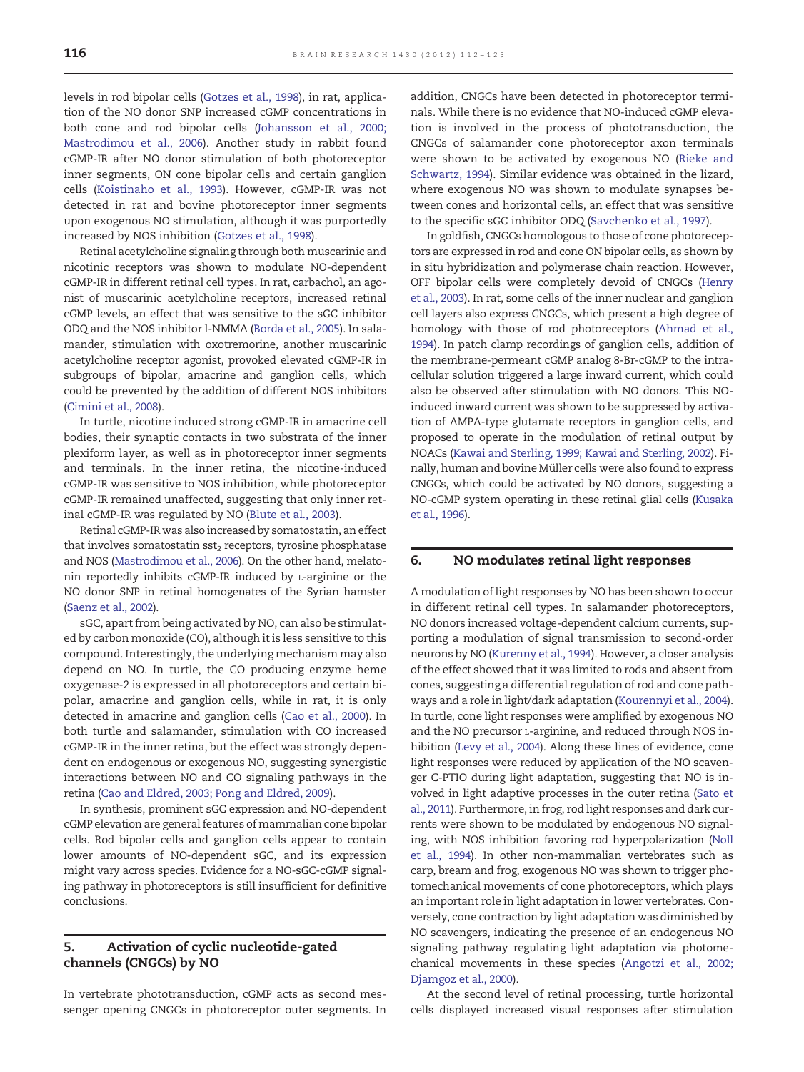levels in rod bipolar cells ([Gotzes et al., 1998](#page-10-0)), in rat, application of the NO donor SNP increased cGMP concentrations in both cone and rod bipolar cells [\(Johansson et al., 2000;](#page-10-0) [Mastrodimou et al., 2006](#page-10-0)). Another study in rabbit found cGMP-IR after NO donor stimulation of both photoreceptor inner segments, ON cone bipolar cells and certain ganglion cells ([Koistinaho et al., 1993\)](#page-11-0). However, cGMP-IR was not detected in rat and bovine photoreceptor inner segments upon exogenous NO stimulation, although it was purportedly increased by NOS inhibition [\(Gotzes et al., 1998\)](#page-10-0).

Retinal acetylcholine signaling through both muscarinic and nicotinic receptors was shown to modulate NO-dependent cGMP-IR in different retinal cell types. In rat, carbachol, an agonist of muscarinic acetylcholine receptors, increased retinal cGMP levels, an effect that was sensitive to the sGC inhibitor ODQ and the NOS inhibitor l-NMMA [\(Borda et al., 2005\)](#page-9-0). In salamander, stimulation with oxotremorine, another muscarinic acetylcholine receptor agonist, provoked elevated cGMP-IR in subgroups of bipolar, amacrine and ganglion cells, which could be prevented by the addition of different NOS inhibitors ([Cimini et al., 2008](#page-9-0)).

In turtle, nicotine induced strong cGMP-IR in amacrine cell bodies, their synaptic contacts in two substrata of the inner plexiform layer, as well as in photoreceptor inner segments and terminals. In the inner retina, the nicotine-induced cGMP-IR was sensitive to NOS inhibition, while photoreceptor cGMP-IR remained unaffected, suggesting that only inner retinal cGMP-IR was regulated by NO [\(Blute et al., 2003\)](#page-9-0).

Retinal cGMP-IR was also increased by somatostatin, an effect that involves somatostatin  $sst<sub>2</sub>$  receptors, tyrosine phosphatase and NOS ([Mastrodimou et al., 2006\)](#page-11-0). On the other hand, melatonin reportedly inhibits cGMP-IR induced by L-arginine or the NO donor SNP in retinal homogenates of the Syrian hamster ([Saenz et al., 2002](#page-12-0)).

sGC, apart from being activated by NO, can also be stimulated by carbon monoxide (CO), although it is less sensitive to this compound. Interestingly, the underlying mechanism may also depend on NO. In turtle, the CO producing enzyme heme oxygenase-2 is expressed in all photoreceptors and certain bipolar, amacrine and ganglion cells, while in rat, it is only detected in amacrine and ganglion cells ([Cao et al., 2000\)](#page-9-0). In both turtle and salamander, stimulation with CO increased cGMP-IR in the inner retina, but the effect was strongly dependent on endogenous or exogenous NO, suggesting synergistic interactions between NO and CO signaling pathways in the retina ([Cao and Eldred, 2003; Pong and Eldred, 2009](#page-9-0)).

In synthesis, prominent sGC expression and NO-dependent cGMP elevation are general features of mammalian cone bipolar cells. Rod bipolar cells and ganglion cells appear to contain lower amounts of NO-dependent sGC, and its expression might vary across species. Evidence for a NO-sGC-cGMP signaling pathway in photoreceptors is still insufficient for definitive conclusions.

### 5. Activation of cyclic nucleotide-gated channels (CNGCs) by NO

In vertebrate phototransduction, cGMP acts as second messenger opening CNGCs in photoreceptor outer segments. In addition, CNGCs have been detected in photoreceptor terminals. While there is no evidence that NO-induced cGMP elevation is involved in the process of phototransduction, the CNGCs of salamander cone photoreceptor axon terminals were shown to be activated by exogenous NO [\(Rieke and](#page-12-0) [Schwartz, 1994\)](#page-12-0). Similar evidence was obtained in the lizard, where exogenous NO was shown to modulate synapses between cones and horizontal cells, an effect that was sensitive to the specific sGC inhibitor ODQ ([Savchenko et al., 1997](#page-12-0)).

In goldfish, CNGCs homologous to those of cone photoreceptors are expressed in rod and cone ON bipolar cells, as shown by in situ hybridization and polymerase chain reaction. However, OFF bipolar cells were completely devoid of CNGCs [\(Henry](#page-10-0) [et al., 2003\)](#page-10-0). In rat, some cells of the inner nuclear and ganglion cell layers also express CNGCs, which present a high degree of homology with those of rod photoreceptors [\(Ahmad et al.,](#page-9-0) [1994\)](#page-9-0). In patch clamp recordings of ganglion cells, addition of the membrane-permeant cGMP analog 8-Br-cGMP to the intracellular solution triggered a large inward current, which could also be observed after stimulation with NO donors. This NOinduced inward current was shown to be suppressed by activation of AMPA-type glutamate receptors in ganglion cells, and proposed to operate in the modulation of retinal output by NOACs [\(Kawai and Sterling, 1999; Kawai and Sterling, 2002\)](#page-10-0). Finally, human and bovine Müller cells were also found to express CNGCs, which could be activated by NO donors, suggesting a NO-cGMP system operating in these retinal glial cells [\(Kusaka](#page-11-0) [et al., 1996](#page-11-0)).

#### 6. NO modulates retinal light responses

A modulation of light responses by NO has been shown to occur in different retinal cell types. In salamander photoreceptors, NO donors increased voltage-dependent calcium currents, supporting a modulation of signal transmission to second-order neurons by NO [\(Kurenny et al., 1994](#page-11-0)). However, a closer analysis of the effect showed that it was limited to rods and absent from cones, suggesting a differential regulation of rod and cone pathways and a role in light/dark adaptation [\(Kourennyi et al., 2004\)](#page-11-0). In turtle, cone light responses were amplified by exogenous NO and the NO precursor L-arginine, and reduced through NOS inhibition [\(Levy et al., 2004](#page-11-0)). Along these lines of evidence, cone light responses were reduced by application of the NO scavenger C-PTIO during light adaptation, suggesting that NO is involved in light adaptive processes in the outer retina [\(Sato et](#page-12-0) [al., 2011](#page-12-0)). Furthermore, in frog, rod light responses and dark currents were shown to be modulated by endogenous NO signaling, with NOS inhibition favoring rod hyperpolarization ([Noll](#page-11-0) [et al., 1994\)](#page-11-0). In other non-mammalian vertebrates such as carp, bream and frog, exogenous NO was shown to trigger photomechanical movements of cone photoreceptors, which plays an important role in light adaptation in lower vertebrates. Conversely, cone contraction by light adaptation was diminished by NO scavengers, indicating the presence of an endogenous NO signaling pathway regulating light adaptation via photomechanical movements in these species ([Angotzi et al., 2002;](#page-9-0) [Djamgoz et al., 2000\)](#page-9-0).

At the second level of retinal processing, turtle horizontal cells displayed increased visual responses after stimulation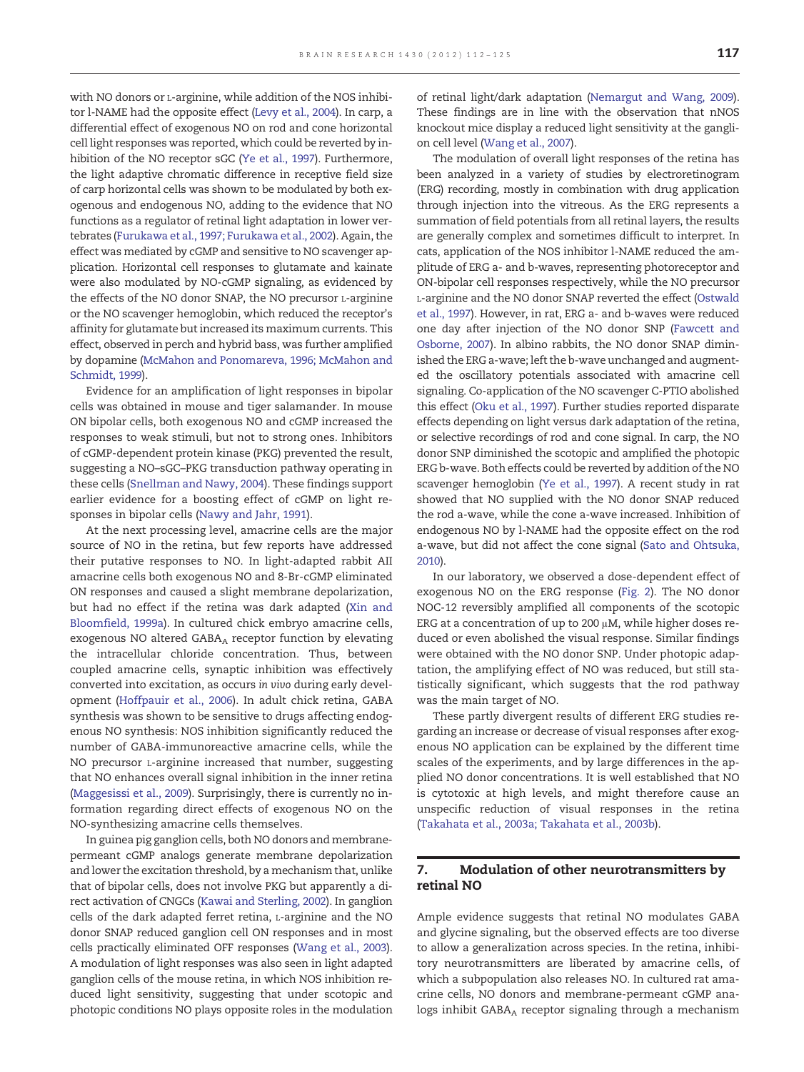with NO donors or L-arginine, while addition of the NOS inhibitor l-NAME had the opposite effect ([Levy et al., 2004\)](#page-11-0). In carp, a differential effect of exogenous NO on rod and cone horizontal cell light responses was reported, which could be reverted by inhibition of the NO receptor sGC [\(Ye et al., 1997](#page-13-0)). Furthermore, the light adaptive chromatic difference in receptive field size of carp horizontal cells was shown to be modulated by both exogenous and endogenous NO, adding to the evidence that NO functions as a regulator of retinal light adaptation in lower vertebrates ([Furukawa et al., 1997; Furukawa et al., 2002\)](#page-10-0). Again, the effect was mediated by cGMP and sensitive to NO scavenger application. Horizontal cell responses to glutamate and kainate were also modulated by NO-cGMP signaling, as evidenced by the effects of the NO donor SNAP, the NO precursor L-arginine or the NO scavenger hemoglobin, which reduced the receptor's affinity for glutamate but increased its maximum currents. This effect, observed in perch and hybrid bass, was further amplified by dopamine [\(McMahon and Ponomareva, 1996; McMahon and](#page-11-0) [Schmidt, 1999](#page-11-0)).

Evidence for an amplification of light responses in bipolar cells was obtained in mouse and tiger salamander. In mouse ON bipolar cells, both exogenous NO and cGMP increased the responses to weak stimuli, but not to strong ones. Inhibitors of cGMP-dependent protein kinase (PKG) prevented the result, suggesting a NO–sGC–PKG transduction pathway operating in these cells [\(Snellman and Nawy, 2004\)](#page-12-0). These findings support earlier evidence for a boosting effect of cGMP on light responses in bipolar cells ([Nawy and Jahr, 1991](#page-11-0)).

At the next processing level, amacrine cells are the major source of NO in the retina, but few reports have addressed their putative responses to NO. In light-adapted rabbit AII amacrine cells both exogenous NO and 8-Br-cGMP eliminated ON responses and caused a slight membrane depolarization, but had no effect if the retina was dark adapted ([Xin and](#page-13-0) [Bloomfield, 1999a](#page-13-0)). In cultured chick embryo amacrine cells, exogenous NO altered GABAA receptor function by elevating the intracellular chloride concentration. Thus, between coupled amacrine cells, synaptic inhibition was effectively converted into excitation, as occurs in vivo during early development [\(Hoffpauir et al., 2006](#page-10-0)). In adult chick retina, GABA synthesis was shown to be sensitive to drugs affecting endogenous NO synthesis: NOS inhibition significantly reduced the number of GABA-immunoreactive amacrine cells, while the NO precursor L-arginine increased that number, suggesting that NO enhances overall signal inhibition in the inner retina [\(Maggesissi et al., 2009\)](#page-11-0). Surprisingly, there is currently no information regarding direct effects of exogenous NO on the NO-synthesizing amacrine cells themselves.

In guinea pig ganglion cells, both NO donors and membranepermeant cGMP analogs generate membrane depolarization and lower the excitation threshold, by a mechanism that, unlike that of bipolar cells, does not involve PKG but apparently a direct activation of CNGCs ([Kawai and Sterling, 2002\)](#page-10-0). In ganglion cells of the dark adapted ferret retina, L-arginine and the NO donor SNAP reduced ganglion cell ON responses and in most cells practically eliminated OFF responses ([Wang et al., 2003](#page-12-0)). A modulation of light responses was also seen in light adapted ganglion cells of the mouse retina, in which NOS inhibition reduced light sensitivity, suggesting that under scotopic and photopic conditions NO plays opposite roles in the modulation

of retinal light/dark adaptation [\(Nemargut and Wang, 2009](#page-11-0)). These findings are in line with the observation that nNOS knockout mice display a reduced light sensitivity at the ganglion cell level [\(Wang et al., 2007\)](#page-12-0).

The modulation of overall light responses of the retina has been analyzed in a variety of studies by electroretinogram (ERG) recording, mostly in combination with drug application through injection into the vitreous. As the ERG represents a summation of field potentials from all retinal layers, the results are generally complex and sometimes difficult to interpret. In cats, application of the NOS inhibitor l-NAME reduced the amplitude of ERG a- and b-waves, representing photoreceptor and ON-bipolar cell responses respectively, while the NO precursor L-arginine and the NO donor SNAP reverted the effect ([Ostwald](#page-12-0) [et al., 1997\)](#page-12-0). However, in rat, ERG a- and b-waves were reduced one day after injection of the NO donor SNP [\(Fawcett and](#page-10-0) [Osborne, 2007](#page-10-0)). In albino rabbits, the NO donor SNAP diminished the ERG a-wave; left the b-wave unchanged and augmented the oscillatory potentials associated with amacrine cell signaling. Co-application of the NO scavenger C-PTIO abolished this effect ([Oku et al., 1997](#page-12-0)). Further studies reported disparate effects depending on light versus dark adaptation of the retina, or selective recordings of rod and cone signal. In carp, the NO donor SNP diminished the scotopic and amplified the photopic ERG b-wave. Both effects could be reverted by addition of the NO scavenger hemoglobin ([Ye et al., 1997](#page-13-0)). A recent study in rat showed that NO supplied with the NO donor SNAP reduced the rod a-wave, while the cone a-wave increased. Inhibition of endogenous NO by l-NAME had the opposite effect on the rod a-wave, but did not affect the cone signal ([Sato and Ohtsuka,](#page-12-0) [2010](#page-12-0)).

In our laboratory, we observed a dose-dependent effect of exogenous NO on the ERG response ([Fig. 2](#page-6-0)). The NO donor NOC-12 reversibly amplified all components of the scotopic ERG at a concentration of up to 200 μM, while higher doses reduced or even abolished the visual response. Similar findings were obtained with the NO donor SNP. Under photopic adaptation, the amplifying effect of NO was reduced, but still statistically significant, which suggests that the rod pathway was the main target of NO.

These partly divergent results of different ERG studies regarding an increase or decrease of visual responses after exogenous NO application can be explained by the different time scales of the experiments, and by large differences in the applied NO donor concentrations. It is well established that NO is cytotoxic at high levels, and might therefore cause an unspecific reduction of visual responses in the retina [\(Takahata et al., 2003a; Takahata et al., 2003b](#page-12-0)).

#### 7. Modulation of other neurotransmitters by retinal NO

Ample evidence suggests that retinal NO modulates GABA and glycine signaling, but the observed effects are too diverse to allow a generalization across species. In the retina, inhibitory neurotransmitters are liberated by amacrine cells, of which a subpopulation also releases NO. In cultured rat amacrine cells, NO donors and membrane-permeant cGMP analogs inhibit GABAA receptor signaling through a mechanism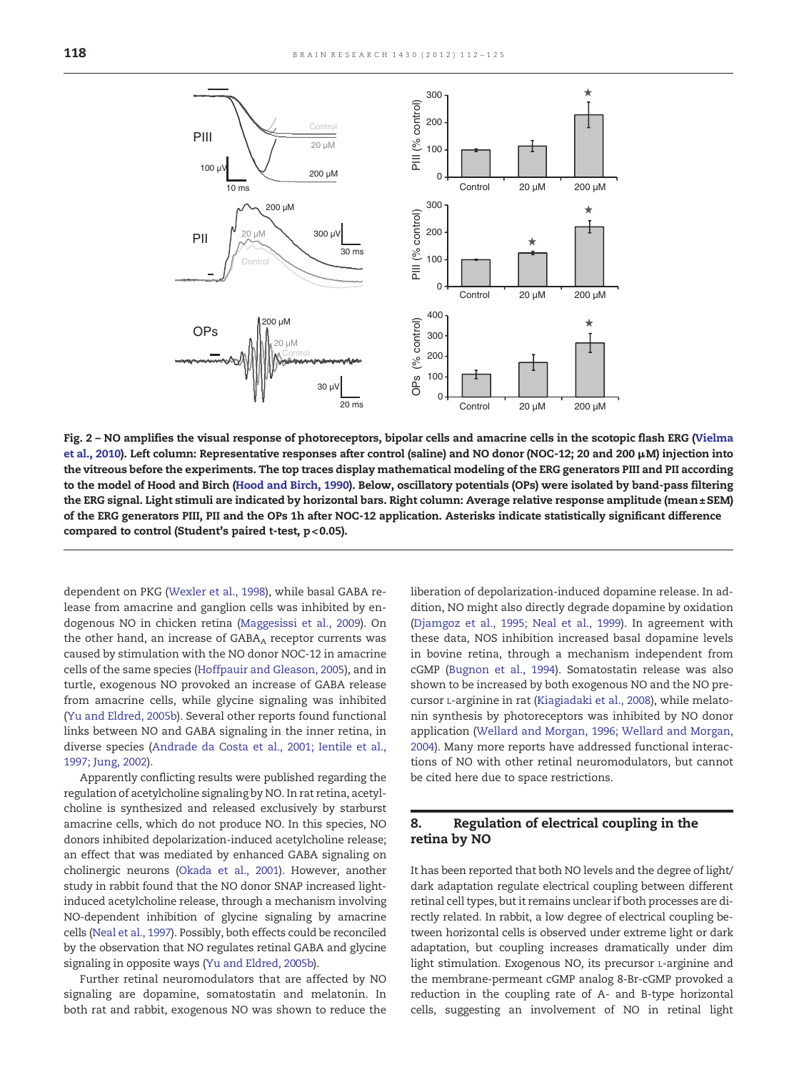<span id="page-6-0"></span>

Fig. 2 – NO amplifies the visual response of photoreceptors, bipolar cells and amacrine cells in the scotopic flash ERG [\(Vielma](#page-12-0) [et al., 2010\)](#page-12-0). Left column: Representative responses after control (saline) and NO donor (NOC-12; 20 and 200 μM) injection into the vitreous before the experiments. The top traces display mathematical modeling of the ERG generators PIII and PII according to the model of Hood and Birch ([Hood and Birch, 1990\)](#page-10-0). Below, oscillatory potentials (OPs) were isolated by band-pass filtering the ERG signal. Light stimuli are indicated by horizontal bars. Right column: Average relative response amplitude (mean±SEM) of the ERG generators PIII, PII and the OPs 1h after NOC-12 application. Asterisks indicate statistically significant difference compared to control (Student's paired t-test, p< 0.05).

dependent on PKG ([Wexler et al., 1998\)](#page-13-0), while basal GABA release from amacrine and ganglion cells was inhibited by endogenous NO in chicken retina [\(Maggesissi et al., 2009\)](#page-11-0). On the other hand, an increase of  $GABA_A$  receptor currents was caused by stimulation with the NO donor NOC-12 in amacrine cells of the same species [\(Hoffpauir and Gleason, 2005](#page-10-0)), and in turtle, exogenous NO provoked an increase of GABA release from amacrine cells, while glycine signaling was inhibited ([Yu and Eldred, 2005b](#page-13-0)). Several other reports found functional links between NO and GABA signaling in the inner retina, in diverse species ([Andrade da Costa et al., 2001; Ientile et al.,](#page-9-0) [1997; Jung, 2002\)](#page-9-0).

Apparently conflicting results were published regarding the regulation of acetylcholine signaling by NO. In rat retina, acetylcholine is synthesized and released exclusively by starburst amacrine cells, which do not produce NO. In this species, NO donors inhibited depolarization-induced acetylcholine release; an effect that was mediated by enhanced GABA signaling on cholinergic neurons ([Okada et al., 2001\)](#page-12-0). However, another study in rabbit found that the NO donor SNAP increased lightinduced acetylcholine release, through a mechanism involving NO-dependent inhibition of glycine signaling by amacrine cells [\(Neal et al., 1997\)](#page-11-0). Possibly, both effects could be reconciled by the observation that NO regulates retinal GABA and glycine signaling in opposite ways ([Yu and Eldred, 2005b](#page-13-0)).

Further retinal neuromodulators that are affected by NO signaling are dopamine, somatostatin and melatonin. In both rat and rabbit, exogenous NO was shown to reduce the liberation of depolarization-induced dopamine release. In addition, NO might also directly degrade dopamine by oxidation ([Djamgoz et al., 1995; Neal et al., 1999](#page-10-0)). In agreement with these data, NOS inhibition increased basal dopamine levels in bovine retina, through a mechanism independent from cGMP ([Bugnon et al., 1994](#page-9-0)). Somatostatin release was also shown to be increased by both exogenous NO and the NO precursor L-arginine in rat [\(Kiagiadaki et al., 2008](#page-11-0)), while melatonin synthesis by photoreceptors was inhibited by NO donor application [\(Wellard and Morgan, 1996; Wellard and Morgan,](#page-13-0) [2004\)](#page-13-0). Many more reports have addressed functional interactions of NO with other retinal neuromodulators, but cannot be cited here due to space restrictions.

#### 8. Regulation of electrical coupling in the retina by NO

It has been reported that both NO levels and the degree of light/ dark adaptation regulate electrical coupling between different retinal cell types, but it remains unclear if both processes are directly related. In rabbit, a low degree of electrical coupling between horizontal cells is observed under extreme light or dark adaptation, but coupling increases dramatically under dim light stimulation. Exogenous NO, its precursor L-arginine and the membrane-permeant cGMP analog 8-Br-cGMP provoked a reduction in the coupling rate of A- and B-type horizontal cells, suggesting an involvement of NO in retinal light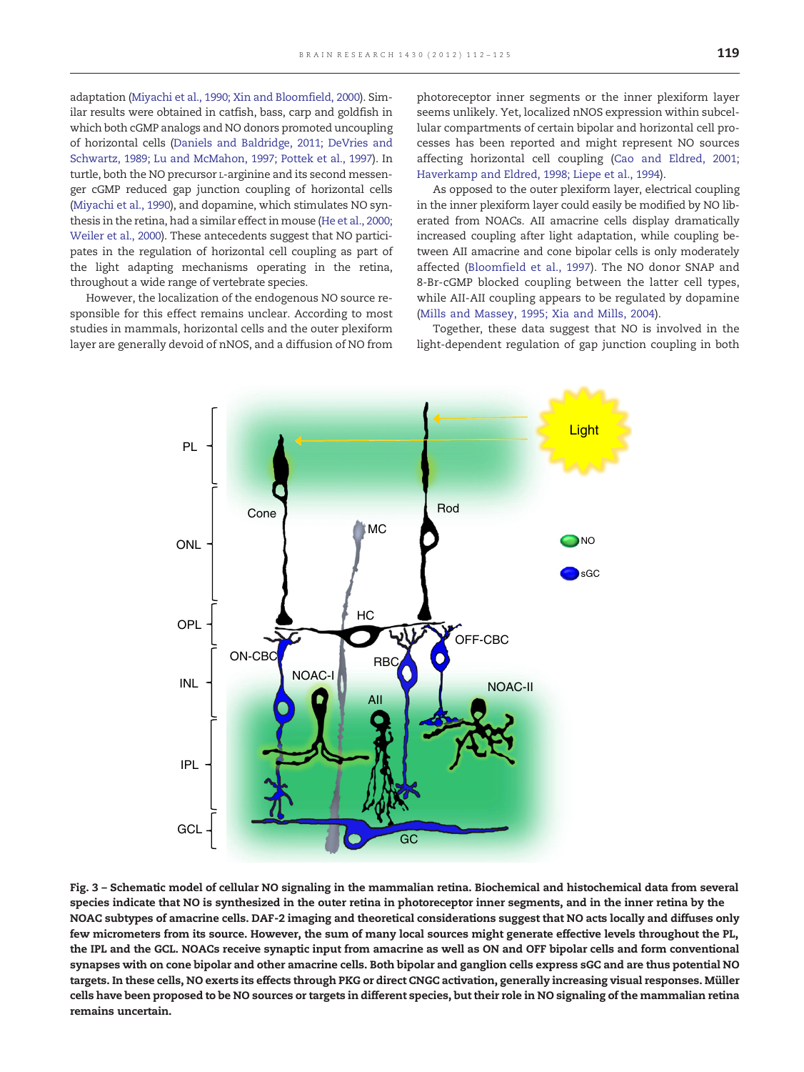<span id="page-7-0"></span>adaptation ([Miyachi et al., 1990; Xin and Bloomfield, 2000\)](#page-11-0). Similar results were obtained in catfish, bass, carp and goldfish in which both cGMP analogs and NO donors promoted uncoupling of horizontal cells ([Daniels and Baldridge, 2011; DeVries and](#page-9-0) [Schwartz, 1989; Lu and McMahon, 1997; Pottek et al., 1997\)](#page-9-0). In turtle, both the NO precursor L-arginine and its second messenger cGMP reduced gap junction coupling of horizontal cells [\(Miyachi et al., 1990](#page-11-0)), and dopamine, which stimulates NO synthesis in the retina, had a similar effect in mouse [\(He et al., 2000;](#page-10-0) [Weiler et al., 2000](#page-10-0)). These antecedents suggest that NO participates in the regulation of horizontal cell coupling as part of the light adapting mechanisms operating in the retina, throughout a wide range of vertebrate species.

However, the localization of the endogenous NO source responsible for this effect remains unclear. According to most studies in mammals, horizontal cells and the outer plexiform layer are generally devoid of nNOS, and a diffusion of NO from

photoreceptor inner segments or the inner plexiform layer seems unlikely. Yet, localized nNOS expression within subcellular compartments of certain bipolar and horizontal cell processes has been reported and might represent NO sources affecting horizontal cell coupling [\(Cao and Eldred, 2001;](#page-9-0) [Haverkamp and Eldred, 1998; Liepe et al., 1994\)](#page-9-0).

As opposed to the outer plexiform layer, electrical coupling in the inner plexiform layer could easily be modified by NO liberated from NOACs. AII amacrine cells display dramatically increased coupling after light adaptation, while coupling between AII amacrine and cone bipolar cells is only moderately affected ([Bloomfield et al., 1997\)](#page-9-0). The NO donor SNAP and 8-Br-cGMP blocked coupling between the latter cell types, while AII-AII coupling appears to be regulated by dopamine [\(Mills and Massey, 1995; Xia and Mills, 2004](#page-11-0)).

Together, these data suggest that NO is involved in the light-dependent regulation of gap junction coupling in both



Fig. 3 – Schematic model of cellular NO signaling in the mammalian retina. Biochemical and histochemical data from several species indicate that NO is synthesized in the outer retina in photoreceptor inner segments, and in the inner retina by the NOAC subtypes of amacrine cells. DAF-2 imaging and theoretical considerations suggest that NO acts locally and diffuses only few micrometers from its source. However, the sum of many local sources might generate effective levels throughout the PL, the IPL and the GCL. NOACs receive synaptic input from amacrine as well as ON and OFF bipolar cells and form conventional synapses with on cone bipolar and other amacrine cells. Both bipolar and ganglion cells express sGC and are thus potential NO targets. In these cells, NO exerts its effects through PKG or direct CNGC activation, generally increasing visual responses. Müller cells have been proposed to be NO sources or targets in different species, but their role in NO signaling of the mammalian retina remains uncertain.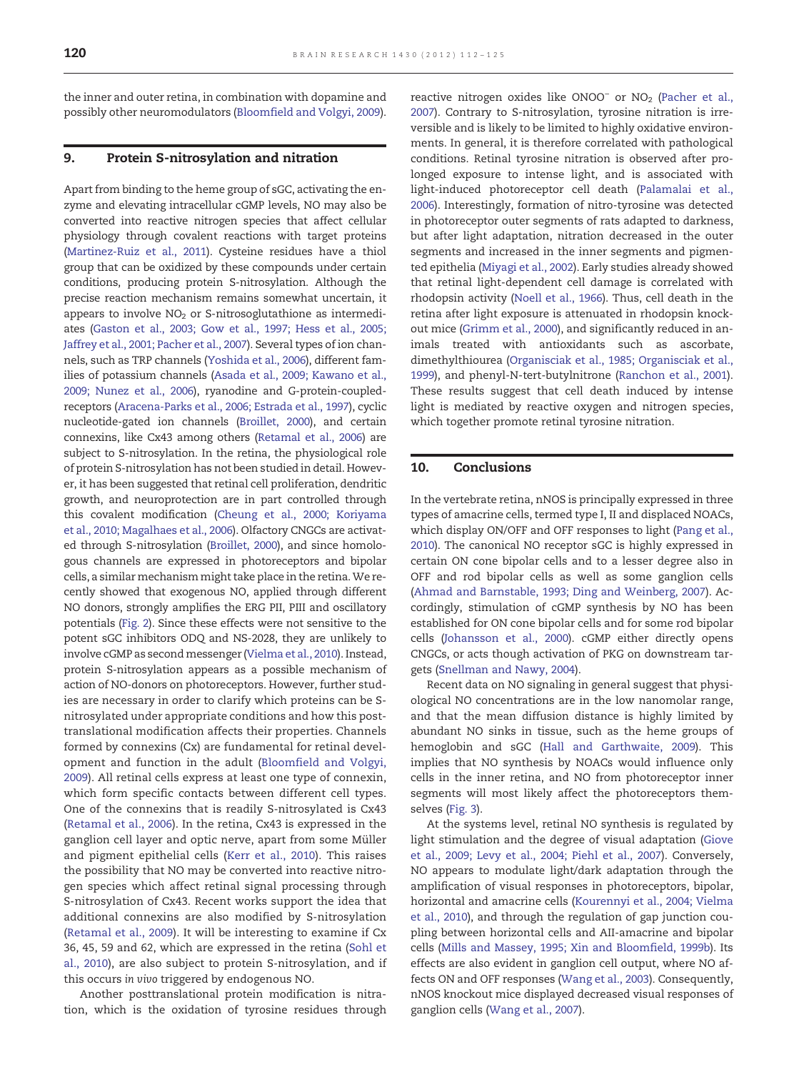the inner and outer retina, in combination with dopamine and possibly other neuromodulators [\(Bloomfield and Volgyi, 2009\)](#page-9-0).

#### 9. Protein S-nitrosylation and nitration

Apart from binding to the heme group of sGC, activating the enzyme and elevating intracellular cGMP levels, NO may also be converted into reactive nitrogen species that affect cellular physiology through covalent reactions with target proteins ([Martinez-Ruiz et al., 2011\)](#page-11-0). Cysteine residues have a thiol group that can be oxidized by these compounds under certain conditions, producing protein S-nitrosylation. Although the precise reaction mechanism remains somewhat uncertain, it appears to involve  $NO<sub>2</sub>$  or S-nitrosoglutathione as intermediates [\(Gaston et al., 2003; Gow et al., 1997; Hess et al., 2005;](#page-10-0) [Jaffrey et al., 2001; Pacher et al., 2007\)](#page-10-0). Several types of ion channels, such as TRP channels ([Yoshida et al., 2006](#page-13-0)), different families of potassium channels ([Asada et al., 2009; Kawano et al.,](#page-9-0) [2009; Nunez et al., 2006](#page-9-0)), ryanodine and G-protein-coupledreceptors [\(Aracena-Parks et al., 2006; Estrada et al., 1997\)](#page-9-0), cyclic nucleotide-gated ion channels ([Broillet, 2000\)](#page-9-0), and certain connexins, like Cx43 among others [\(Retamal et al., 2006](#page-12-0)) are subject to S-nitrosylation. In the retina, the physiological role of protein S-nitrosylation has not been studied in detail. However, it has been suggested that retinal cell proliferation, dendritic growth, and neuroprotection are in part controlled through this covalent modification [\(Cheung et al., 2000; Koriyama](#page-9-0) [et al., 2010; Magalhaes et al., 2006](#page-9-0)). Olfactory CNGCs are activated through S-nitrosylation ([Broillet, 2000](#page-9-0)), and since homologous channels are expressed in photoreceptors and bipolar cells, a similar mechanism might take place in the retina.We recently showed that exogenous NO, applied through different NO donors, strongly amplifies the ERG PII, PIII and oscillatory potentials [\(Fig. 2](#page-6-0)). Since these effects were not sensitive to the potent sGC inhibitors ODQ and NS-2028, they are unlikely to involve cGMP as second messenger ([Vielma et al., 2010\)](#page-12-0). Instead, protein S-nitrosylation appears as a possible mechanism of action of NO-donors on photoreceptors. However, further studies are necessary in order to clarify which proteins can be Snitrosylated under appropriate conditions and how this posttranslational modification affects their properties. Channels formed by connexins (Cx) are fundamental for retinal development and function in the adult ([Bloomfield and Volgyi,](#page-9-0) [2009](#page-9-0)). All retinal cells express at least one type of connexin, which form specific contacts between different cell types. One of the connexins that is readily S-nitrosylated is Cx43 ([Retamal et al., 2006\)](#page-12-0). In the retina, Cx43 is expressed in the ganglion cell layer and optic nerve, apart from some Müller and pigment epithelial cells [\(Kerr et al., 2010\)](#page-10-0). This raises the possibility that NO may be converted into reactive nitrogen species which affect retinal signal processing through S-nitrosylation of Cx43. Recent works support the idea that additional connexins are also modified by S-nitrosylation ([Retamal et al., 2009](#page-12-0)). It will be interesting to examine if Cx 36, 45, 59 and 62, which are expressed in the retina ([Sohl et](#page-12-0) [al., 2010](#page-12-0)), are also subject to protein S-nitrosylation, and if this occurs in vivo triggered by endogenous NO.

Another posttranslational protein modification is nitration, which is the oxidation of tyrosine residues through reactive nitrogen oxides like ONOO<sup>−</sup> or NO<sub>2</sub> [\(Pacher et al.,](#page-12-0) [2007\)](#page-12-0). Contrary to S-nitrosylation, tyrosine nitration is irreversible and is likely to be limited to highly oxidative environments. In general, it is therefore correlated with pathological conditions. Retinal tyrosine nitration is observed after prolonged exposure to intense light, and is associated with light-induced photoreceptor cell death [\(Palamalai et al.,](#page-12-0) [2006\)](#page-12-0). Interestingly, formation of nitro-tyrosine was detected in photoreceptor outer segments of rats adapted to darkness, but after light adaptation, nitration decreased in the outer segments and increased in the inner segments and pigmented epithelia [\(Miyagi et al., 2002\)](#page-11-0). Early studies already showed that retinal light-dependent cell damage is correlated with rhodopsin activity [\(Noell et al., 1966](#page-11-0)). Thus, cell death in the retina after light exposure is attenuated in rhodopsin knockout mice ([Grimm et al., 2000](#page-10-0)), and significantly reduced in animals treated with antioxidants such as ascorbate, dimethylthiourea ([Organisciak et al., 1985; Organisciak et al.,](#page-12-0) [1999\)](#page-12-0), and phenyl-N-tert-butylnitrone ([Ranchon et al., 2001\)](#page-12-0). These results suggest that cell death induced by intense light is mediated by reactive oxygen and nitrogen species, which together promote retinal tyrosine nitration.

#### 10. Conclusions

In the vertebrate retina, nNOS is principally expressed in three types of amacrine cells, termed type I, II and displaced NOACs, which display ON/OFF and OFF responses to light [\(Pang et al.,](#page-12-0) [2010\)](#page-12-0). The canonical NO receptor sGC is highly expressed in certain ON cone bipolar cells and to a lesser degree also in OFF and rod bipolar cells as well as some ganglion cells ([Ahmad and Barnstable, 1993; Ding and Weinberg, 2007\)](#page-9-0). Accordingly, stimulation of cGMP synthesis by NO has been established for ON cone bipolar cells and for some rod bipolar cells [\(Johansson et al., 2000](#page-10-0)). cGMP either directly opens CNGCs, or acts though activation of PKG on downstream targets [\(Snellman and Nawy, 2004](#page-12-0)).

Recent data on NO signaling in general suggest that physiological NO concentrations are in the low nanomolar range, and that the mean diffusion distance is highly limited by abundant NO sinks in tissue, such as the heme groups of hemoglobin and sGC [\(Hall and Garthwaite, 2009](#page-10-0)). This implies that NO synthesis by NOACs would influence only cells in the inner retina, and NO from photoreceptor inner segments will most likely affect the photoreceptors themselves ([Fig. 3](#page-7-0)).

At the systems level, retinal NO synthesis is regulated by light stimulation and the degree of visual adaptation ([Giove](#page-10-0) [et al., 2009; Levy et al., 2004; Piehl et al., 2007](#page-10-0)). Conversely, NO appears to modulate light/dark adaptation through the amplification of visual responses in photoreceptors, bipolar, horizontal and amacrine cells [\(Kourennyi et al., 2004; Vielma](#page-11-0) [et al., 2010](#page-11-0)), and through the regulation of gap junction coupling between horizontal cells and AII-amacrine and bipolar cells [\(Mills and Massey, 1995; Xin and Bloomfield, 1999b](#page-11-0)). Its effects are also evident in ganglion cell output, where NO affects ON and OFF responses ([Wang et al., 2003\)](#page-12-0). Consequently, nNOS knockout mice displayed decreased visual responses of ganglion cells ([Wang et al., 2007\)](#page-12-0).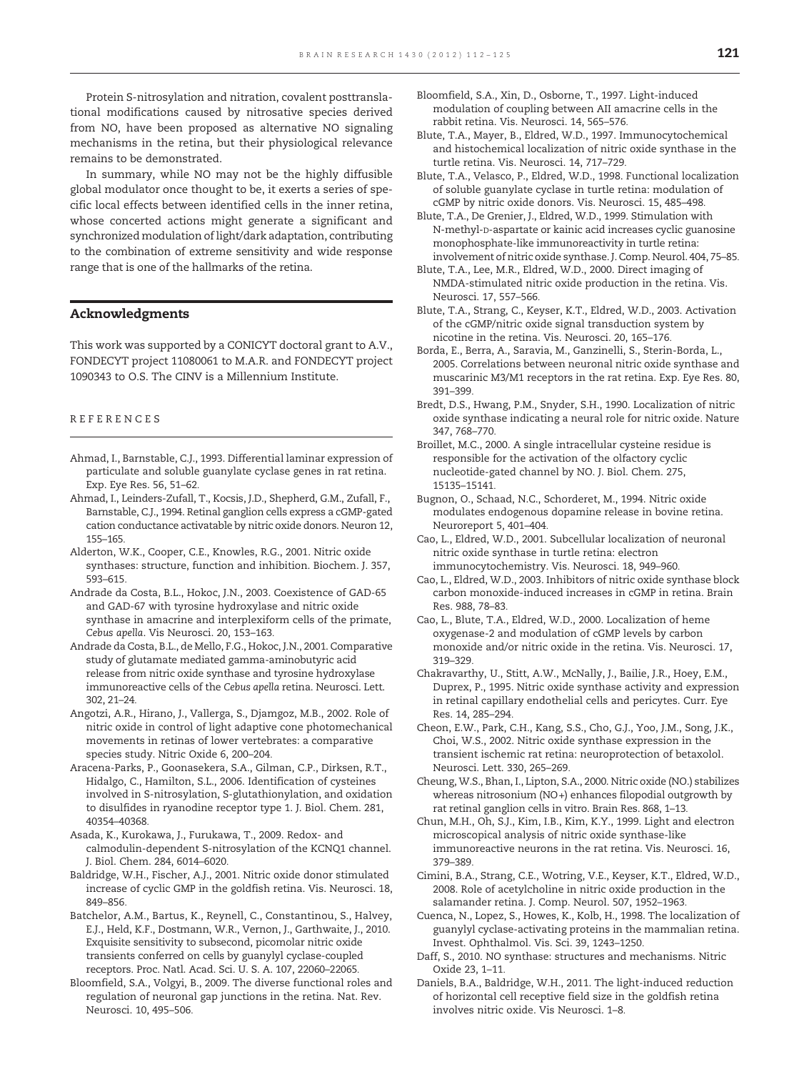<span id="page-9-0"></span>Protein S-nitrosylation and nitration, covalent posttranslational modifications caused by nitrosative species derived from NO, have been proposed as alternative NO signaling mechanisms in the retina, but their physiological relevance remains to be demonstrated.

In summary, while NO may not be the highly diffusible global modulator once thought to be, it exerts a series of specific local effects between identified cells in the inner retina, whose concerted actions might generate a significant and synchronized modulation of light/dark adaptation, contributing to the combination of extreme sensitivity and wide response range that is one of the hallmarks of the retina.

#### Acknowledgments

This work was supported by a CONICYT doctoral grant to A.V., FONDECYT project 11080061 to M.A.R. and FONDECYT project 1090343 to O.S. The CINV is a Millennium Institute.

#### REFERENCES

- Ahmad, I., Barnstable, C.J., 1993. Differential laminar expression of particulate and soluble guanylate cyclase genes in rat retina. Exp. Eye Res. 56, 51–62.
- Ahmad, I., Leinders-Zufall, T., Kocsis, J.D., Shepherd, G.M., Zufall, F., Barnstable, C.J., 1994. Retinal ganglion cells express a cGMP-gated cation conductance activatable by nitric oxide donors. Neuron 12, 155–165.
- Alderton, W.K., Cooper, C.E., Knowles, R.G., 2001. Nitric oxide synthases: structure, function and inhibition. Biochem. J. 357, 593–615.
- Andrade da Costa, B.L., Hokoc, J.N., 2003. Coexistence of GAD-65 and GAD-67 with tyrosine hydroxylase and nitric oxide synthase in amacrine and interplexiform cells of the primate, Cebus apella. Vis Neurosci. 20, 153–163.
- Andrade da Costa, B.L., de Mello, F.G., Hokoc, J.N., 2001. Comparative study of glutamate mediated gamma-aminobutyric acid release from nitric oxide synthase and tyrosine hydroxylase immunoreactive cells of the Cebus apella retina. Neurosci. Lett. 302, 21–24.
- Angotzi, A.R., Hirano, J., Vallerga, S., Djamgoz, M.B., 2002. Role of nitric oxide in control of light adaptive cone photomechanical movements in retinas of lower vertebrates: a comparative species study. Nitric Oxide 6, 200–204.
- Aracena-Parks, P., Goonasekera, S.A., Gilman, C.P., Dirksen, R.T., Hidalgo, C., Hamilton, S.L., 2006. Identification of cysteines involved in S-nitrosylation, S-glutathionylation, and oxidation to disulfides in ryanodine receptor type 1. J. Biol. Chem. 281, 40354–40368.
- Asada, K., Kurokawa, J., Furukawa, T., 2009. Redox- and calmodulin-dependent S-nitrosylation of the KCNQ1 channel. J. Biol. Chem. 284, 6014–6020.
- Baldridge, W.H., Fischer, A.J., 2001. Nitric oxide donor stimulated increase of cyclic GMP in the goldfish retina. Vis. Neurosci. 18, 849–856.
- Batchelor, A.M., Bartus, K., Reynell, C., Constantinou, S., Halvey, E.J., Held, K.F., Dostmann, W.R., Vernon, J., Garthwaite, J., 2010. Exquisite sensitivity to subsecond, picomolar nitric oxide transients conferred on cells by guanylyl cyclase-coupled receptors. Proc. Natl. Acad. Sci. U. S. A. 107, 22060–22065.
- Bloomfield, S.A., Volgyi, B., 2009. The diverse functional roles and regulation of neuronal gap junctions in the retina. Nat. Rev. Neurosci. 10, 495–506.
- Bloomfield, S.A., Xin, D., Osborne, T., 1997. Light-induced modulation of coupling between AII amacrine cells in the rabbit retina. Vis. Neurosci. 14, 565–576.
- Blute, T.A., Mayer, B., Eldred, W.D., 1997. Immunocytochemical and histochemical localization of nitric oxide synthase in the turtle retina. Vis. Neurosci. 14, 717–729.
- Blute, T.A., Velasco, P., Eldred, W.D., 1998. Functional localization of soluble guanylate cyclase in turtle retina: modulation of cGMP by nitric oxide donors. Vis. Neurosci. 15, 485–498.
- Blute, T.A., De Grenier, J., Eldred, W.D., 1999. Stimulation with N-methyl-D-aspartate or kainic acid increases cyclic guanosine monophosphate-like immunoreactivity in turtle retina: involvement of nitric oxide synthase. J. Comp. Neurol. 404, 75–85.
- Blute, T.A., Lee, M.R., Eldred, W.D., 2000. Direct imaging of NMDA-stimulated nitric oxide production in the retina. Vis. Neurosci. 17, 557–566.
- Blute, T.A., Strang, C., Keyser, K.T., Eldred, W.D., 2003. Activation of the cGMP/nitric oxide signal transduction system by nicotine in the retina. Vis. Neurosci. 20, 165–176.
- Borda, E., Berra, A., Saravia, M., Ganzinelli, S., Sterin-Borda, L., 2005. Correlations between neuronal nitric oxide synthase and muscarinic M3/M1 receptors in the rat retina. Exp. Eye Res. 80, 391–399.
- Bredt, D.S., Hwang, P.M., Snyder, S.H., 1990. Localization of nitric oxide synthase indicating a neural role for nitric oxide. Nature 347, 768–770.
- Broillet, M.C., 2000. A single intracellular cysteine residue is responsible for the activation of the olfactory cyclic nucleotide-gated channel by NO. J. Biol. Chem. 275, 15135–15141.
- Bugnon, O., Schaad, N.C., Schorderet, M., 1994. Nitric oxide modulates endogenous dopamine release in bovine retina. Neuroreport 5, 401–404.
- Cao, L., Eldred, W.D., 2001. Subcellular localization of neuronal nitric oxide synthase in turtle retina: electron immunocytochemistry. Vis. Neurosci. 18, 949–960.
- Cao, L., Eldred, W.D., 2003. Inhibitors of nitric oxide synthase block carbon monoxide-induced increases in cGMP in retina. Brain Res. 988, 78–83.
- Cao, L., Blute, T.A., Eldred, W.D., 2000. Localization of heme oxygenase-2 and modulation of cGMP levels by carbon monoxide and/or nitric oxide in the retina. Vis. Neurosci. 17, 319–329.
- Chakravarthy, U., Stitt, A.W., McNally, J., Bailie, J.R., Hoey, E.M., Duprex, P., 1995. Nitric oxide synthase activity and expression in retinal capillary endothelial cells and pericytes. Curr. Eye Res. 14, 285–294.
- Cheon, E.W., Park, C.H., Kang, S.S., Cho, G.J., Yoo, J.M., Song, J.K., Choi, W.S., 2002. Nitric oxide synthase expression in the transient ischemic rat retina: neuroprotection of betaxolol. Neurosci. Lett. 330, 265–269.
- Cheung, W.S., Bhan, I., Lipton, S.A., 2000. Nitric oxide (NO.) stabilizes whereas nitrosonium (NO+) enhances filopodial outgrowth by rat retinal ganglion cells in vitro. Brain Res. 868, 1–13.
- Chun, M.H., Oh, S.J., Kim, I.B., Kim, K.Y., 1999. Light and electron microscopical analysis of nitric oxide synthase-like immunoreactive neurons in the rat retina. Vis. Neurosci. 16, 379–389.
- Cimini, B.A., Strang, C.E., Wotring, V.E., Keyser, K.T., Eldred, W.D., 2008. Role of acetylcholine in nitric oxide production in the salamander retina. J. Comp. Neurol. 507, 1952–1963.
- Cuenca, N., Lopez, S., Howes, K., Kolb, H., 1998. The localization of guanylyl cyclase-activating proteins in the mammalian retina. Invest. Ophthalmol. Vis. Sci. 39, 1243–1250.
- Daff, S., 2010. NO synthase: structures and mechanisms. Nitric Oxide 23, 1–11.
- Daniels, B.A., Baldridge, W.H., 2011. The light-induced reduction of horizontal cell receptive field size in the goldfish retina involves nitric oxide. Vis Neurosci. 1–8.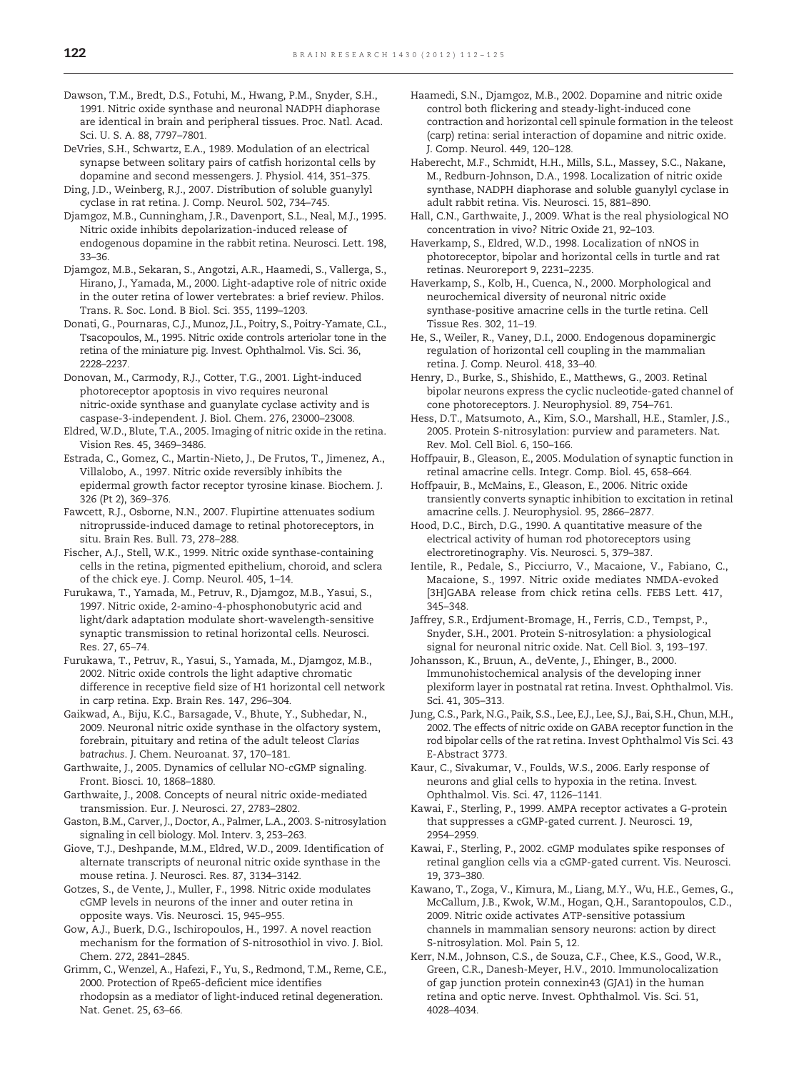<span id="page-10-0"></span>Dawson, T.M., Bredt, D.S., Fotuhi, M., Hwang, P.M., Snyder, S.H., 1991. Nitric oxide synthase and neuronal NADPH diaphorase are identical in brain and peripheral tissues. Proc. Natl. Acad. Sci. U. S. A. 88, 7797–7801.

DeVries, S.H., Schwartz, E.A., 1989. Modulation of an electrical synapse between solitary pairs of catfish horizontal cells by dopamine and second messengers. J. Physiol. 414, 351–375.

Ding, J.D., Weinberg, R.J., 2007. Distribution of soluble guanylyl cyclase in rat retina. J. Comp. Neurol. 502, 734–745.

Djamgoz, M.B., Cunningham, J.R., Davenport, S.L., Neal, M.J., 1995. Nitric oxide inhibits depolarization-induced release of endogenous dopamine in the rabbit retina. Neurosci. Lett. 198, 33–36.

Djamgoz, M.B., Sekaran, S., Angotzi, A.R., Haamedi, S., Vallerga, S., Hirano, J., Yamada, M., 2000. Light-adaptive role of nitric oxide in the outer retina of lower vertebrates: a brief review. Philos. Trans. R. Soc. Lond. B Biol. Sci. 355, 1199–1203.

Donati, G., Pournaras, C.J., Munoz, J.L., Poitry, S., Poitry-Yamate, C.L., Tsacopoulos, M., 1995. Nitric oxide controls arteriolar tone in the retina of the miniature pig. Invest. Ophthalmol. Vis. Sci. 36, 2228–2237.

Donovan, M., Carmody, R.J., Cotter, T.G., 2001. Light-induced photoreceptor apoptosis in vivo requires neuronal nitric-oxide synthase and guanylate cyclase activity and is caspase-3-independent. J. Biol. Chem. 276, 23000–23008.

Eldred, W.D., Blute, T.A., 2005. Imaging of nitric oxide in the retina. Vision Res. 45, 3469–3486.

Estrada, C., Gomez, C., Martin-Nieto, J., De Frutos, T., Jimenez, A., Villalobo, A., 1997. Nitric oxide reversibly inhibits the epidermal growth factor receptor tyrosine kinase. Biochem. J. 326 (Pt 2), 369–376.

Fawcett, R.J., Osborne, N.N., 2007. Flupirtine attenuates sodium nitroprusside-induced damage to retinal photoreceptors, in situ. Brain Res. Bull. 73, 278–288.

Fischer, A.J., Stell, W.K., 1999. Nitric oxide synthase-containing cells in the retina, pigmented epithelium, choroid, and sclera of the chick eye. J. Comp. Neurol. 405, 1–14.

Furukawa, T., Yamada, M., Petruv, R., Djamgoz, M.B., Yasui, S., 1997. Nitric oxide, 2-amino-4-phosphonobutyric acid and light/dark adaptation modulate short-wavelength-sensitive synaptic transmission to retinal horizontal cells. Neurosci. Res. 27, 65–74.

Furukawa, T., Petruv, R., Yasui, S., Yamada, M., Djamgoz, M.B., 2002. Nitric oxide controls the light adaptive chromatic difference in receptive field size of H1 horizontal cell network in carp retina. Exp. Brain Res. 147, 296–304.

Gaikwad, A., Biju, K.C., Barsagade, V., Bhute, Y., Subhedar, N., 2009. Neuronal nitric oxide synthase in the olfactory system, forebrain, pituitary and retina of the adult teleost Clarias batrachus. J. Chem. Neuroanat. 37, 170–181.

Garthwaite, J., 2005. Dynamics of cellular NO-cGMP signaling. Front. Biosci. 10, 1868–1880.

Garthwaite, J., 2008. Concepts of neural nitric oxide-mediated transmission. Eur. J. Neurosci. 27, 2783–2802.

Gaston, B.M., Carver, J., Doctor, A., Palmer, L.A., 2003. S-nitrosylation signaling in cell biology. Mol. Interv. 3, 253–263.

Giove, T.J., Deshpande, M.M., Eldred, W.D., 2009. Identification of alternate transcripts of neuronal nitric oxide synthase in the mouse retina. J. Neurosci. Res. 87, 3134–3142.

Gotzes, S., de Vente, J., Muller, F., 1998. Nitric oxide modulates cGMP levels in neurons of the inner and outer retina in opposite ways. Vis. Neurosci. 15, 945–955.

Gow, A.J., Buerk, D.G., Ischiropoulos, H., 1997. A novel reaction mechanism for the formation of S-nitrosothiol in vivo. J. Biol. Chem. 272, 2841–2845.

Grimm, C., Wenzel, A., Hafezi, F., Yu, S., Redmond, T.M., Reme, C.E., 2000. Protection of Rpe65-deficient mice identifies rhodopsin as a mediator of light-induced retinal degeneration. Nat. Genet. 25, 63–66.

Haamedi, S.N., Djamgoz, M.B., 2002. Dopamine and nitric oxide control both flickering and steady-light-induced cone contraction and horizontal cell spinule formation in the teleost (carp) retina: serial interaction of dopamine and nitric oxide. J. Comp. Neurol. 449, 120–128.

Haberecht, M.F., Schmidt, H.H., Mills, S.L., Massey, S.C., Nakane, M., Redburn-Johnson, D.A., 1998. Localization of nitric oxide synthase, NADPH diaphorase and soluble guanylyl cyclase in adult rabbit retina. Vis. Neurosci. 15, 881–890.

Hall, C.N., Garthwaite, J., 2009. What is the real physiological NO concentration in vivo? Nitric Oxide 21, 92–103.

Haverkamp, S., Eldred, W.D., 1998. Localization of nNOS in photoreceptor, bipolar and horizontal cells in turtle and rat retinas. Neuroreport 9, 2231–2235.

Haverkamp, S., Kolb, H., Cuenca, N., 2000. Morphological and neurochemical diversity of neuronal nitric oxide synthase-positive amacrine cells in the turtle retina. Cell Tissue Res. 302, 11–19.

He, S., Weiler, R., Vaney, D.I., 2000. Endogenous dopaminergic regulation of horizontal cell coupling in the mammalian retina. J. Comp. Neurol. 418, 33–40.

Henry, D., Burke, S., Shishido, E., Matthews, G., 2003. Retinal bipolar neurons express the cyclic nucleotide-gated channel of cone photoreceptors. J. Neurophysiol. 89, 754–761.

Hess, D.T., Matsumoto, A., Kim, S.O., Marshall, H.E., Stamler, J.S., 2005. Protein S-nitrosylation: purview and parameters. Nat. Rev. Mol. Cell Biol. 6, 150–166.

Hoffpauir, B., Gleason, E., 2005. Modulation of synaptic function in retinal amacrine cells. Integr. Comp. Biol. 45, 658–664.

Hoffpauir, B., McMains, E., Gleason, E., 2006. Nitric oxide transiently converts synaptic inhibition to excitation in retinal amacrine cells. J. Neurophysiol. 95, 2866–2877.

Hood, D.C., Birch, D.G., 1990. A quantitative measure of the electrical activity of human rod photoreceptors using electroretinography. Vis. Neurosci. 5, 379–387.

Ientile, R., Pedale, S., Picciurro, V., Macaione, V., Fabiano, C., Macaione, S., 1997. Nitric oxide mediates NMDA-evoked [3H]GABA release from chick retina cells. FEBS Lett. 417, 345–348.

Jaffrey, S.R., Erdjument-Bromage, H., Ferris, C.D., Tempst, P., Snyder, S.H., 2001. Protein S-nitrosylation: a physiological signal for neuronal nitric oxide. Nat. Cell Biol. 3, 193–197.

Johansson, K., Bruun, A., deVente, J., Ehinger, B., 2000. Immunohistochemical analysis of the developing inner plexiform layer in postnatal rat retina. Invest. Ophthalmol. Vis. Sci. 41, 305–313.

Jung, C.S., Park, N.G., Paik, S.S., Lee, E.J., Lee, S.J., Bai, S.H., Chun, M.H., 2002. The effects of nitric oxide on GABA receptor function in the rod bipolar cells of the rat retina. Invest Ophthalmol Vis Sci. 43 E-Abstract 3773.

Kaur, C., Sivakumar, V., Foulds, W.S., 2006. Early response of neurons and glial cells to hypoxia in the retina. Invest. Ophthalmol. Vis. Sci. 47, 1126–1141.

Kawai, F., Sterling, P., 1999. AMPA receptor activates a G-protein that suppresses a cGMP-gated current. J. Neurosci. 19, 2954–2959.

Kawai, F., Sterling, P., 2002. cGMP modulates spike responses of retinal ganglion cells via a cGMP-gated current. Vis. Neurosci. 19, 373–380.

Kawano, T., Zoga, V., Kimura, M., Liang, M.Y., Wu, H.E., Gemes, G., McCallum, J.B., Kwok, W.M., Hogan, Q.H., Sarantopoulos, C.D., 2009. Nitric oxide activates ATP-sensitive potassium channels in mammalian sensory neurons: action by direct S-nitrosylation. Mol. Pain 5, 12.

Kerr, N.M., Johnson, C.S., de Souza, C.F., Chee, K.S., Good, W.R., Green, C.R., Danesh-Meyer, H.V., 2010. Immunolocalization of gap junction protein connexin43 (GJA1) in the human retina and optic nerve. Invest. Ophthalmol. Vis. Sci. 51, 4028–4034.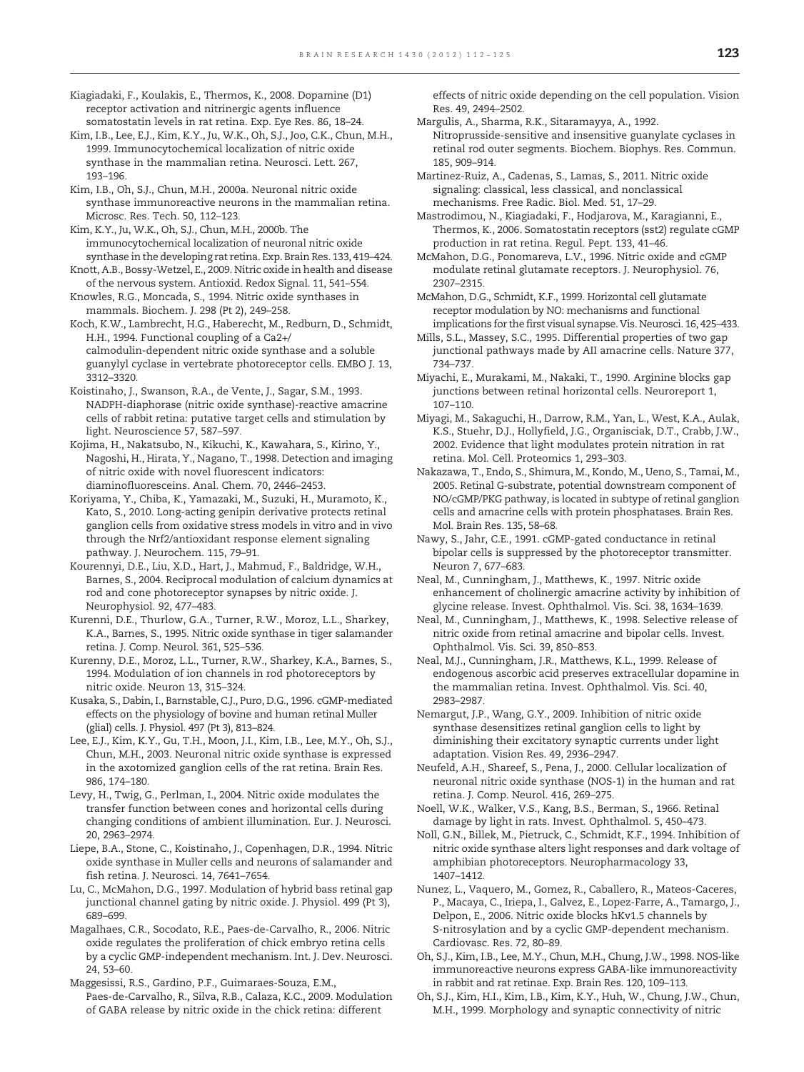- <span id="page-11-0"></span>Kiagiadaki, F., Koulakis, E., Thermos, K., 2008. Dopamine (D1) receptor activation and nitrinergic agents influence somatostatin levels in rat retina. Exp. Eye Res. 86, 18–24.
- Kim, I.B., Lee, E.J., Kim, K.Y., Ju, W.K., Oh, S.J., Joo, C.K., Chun, M.H., 1999. Immunocytochemical localization of nitric oxide synthase in the mammalian retina. Neurosci. Lett. 267, 193–196.
- Kim, I.B., Oh, S.J., Chun, M.H., 2000a. Neuronal nitric oxide synthase immunoreactive neurons in the mammalian retina. Microsc. Res. Tech. 50, 112–123.
- Kim, K.Y., Ju, W.K., Oh, S.J., Chun, M.H., 2000b. The immunocytochemical localization of neuronal nitric oxide synthase in the developing rat retina. Exp. Brain Res. 133, 419–424. Knott, A.B., Bossy-Wetzel, E., 2009. Nitric oxide in health and disease
- of the nervous system. Antioxid. Redox Signal. 11, 541–554. Knowles, R.G., Moncada, S., 1994. Nitric oxide synthases in
- mammals. Biochem. J. 298 (Pt 2), 249–258. Koch, K.W., Lambrecht, H.G., Haberecht, M., Redburn, D., Schmidt, H.H., 1994. Functional coupling of a Ca2+/
- calmodulin-dependent nitric oxide synthase and a soluble guanylyl cyclase in vertebrate photoreceptor cells. EMBO J. 13, 3312–3320.
- Koistinaho, J., Swanson, R.A., de Vente, J., Sagar, S.M., 1993. NADPH-diaphorase (nitric oxide synthase)-reactive amacrine cells of rabbit retina: putative target cells and stimulation by light. Neuroscience 57, 587–597.
- Kojima, H., Nakatsubo, N., Kikuchi, K., Kawahara, S., Kirino, Y., Nagoshi, H., Hirata, Y., Nagano, T., 1998. Detection and imaging of nitric oxide with novel fluorescent indicators: diaminofluoresceins. Anal. Chem. 70, 2446–2453.
- Koriyama, Y., Chiba, K., Yamazaki, M., Suzuki, H., Muramoto, K., Kato, S., 2010. Long-acting genipin derivative protects retinal ganglion cells from oxidative stress models in vitro and in vivo through the Nrf2/antioxidant response element signaling pathway. J. Neurochem. 115, 79–91.
- Kourennyi, D.E., Liu, X.D., Hart, J., Mahmud, F., Baldridge, W.H., Barnes, S., 2004. Reciprocal modulation of calcium dynamics at rod and cone photoreceptor synapses by nitric oxide. J. Neurophysiol. 92, 477–483.
- Kurenni, D.E., Thurlow, G.A., Turner, R.W., Moroz, L.L., Sharkey, K.A., Barnes, S., 1995. Nitric oxide synthase in tiger salamander retina. J. Comp. Neurol. 361, 525–536.
- Kurenny, D.E., Moroz, L.L., Turner, R.W., Sharkey, K.A., Barnes, S., 1994. Modulation of ion channels in rod photoreceptors by nitric oxide. Neuron 13, 315–324.
- Kusaka, S., Dabin, I., Barnstable, C.J., Puro, D.G., 1996. cGMP-mediated effects on the physiology of bovine and human retinal Muller (glial) cells. J. Physiol. 497 (Pt 3), 813–824.
- Lee, E.J., Kim, K.Y., Gu, T.H., Moon, J.I., Kim, I.B., Lee, M.Y., Oh, S.J., Chun, M.H., 2003. Neuronal nitric oxide synthase is expressed in the axotomized ganglion cells of the rat retina. Brain Res. 986, 174–180.
- Levy, H., Twig, G., Perlman, I., 2004. Nitric oxide modulates the transfer function between cones and horizontal cells during changing conditions of ambient illumination. Eur. J. Neurosci. 20, 2963–2974.
- Liepe, B.A., Stone, C., Koistinaho, J., Copenhagen, D.R., 1994. Nitric oxide synthase in Muller cells and neurons of salamander and fish retina. J. Neurosci. 14, 7641–7654.
- Lu, C., McMahon, D.G., 1997. Modulation of hybrid bass retinal gap junctional channel gating by nitric oxide. J. Physiol. 499 (Pt 3), 689–699.
- Magalhaes, C.R., Socodato, R.E., Paes-de-Carvalho, R., 2006. Nitric oxide regulates the proliferation of chick embryo retina cells by a cyclic GMP-independent mechanism. Int. J. Dev. Neurosci. 24, 53–60.
- Maggesissi, R.S., Gardino, P.F., Guimaraes-Souza, E.M., Paes-de-Carvalho, R., Silva, R.B., Calaza, K.C., 2009. Modulation of GABA release by nitric oxide in the chick retina: different

effects of nitric oxide depending on the cell population. Vision Res. 49, 2494–2502.

- Margulis, A., Sharma, R.K., Sitaramayya, A., 1992. Nitroprusside-sensitive and insensitive guanylate cyclases in retinal rod outer segments. Biochem. Biophys. Res. Commun. 185, 909–914.
- Martinez-Ruiz, A., Cadenas, S., Lamas, S., 2011. Nitric oxide signaling: classical, less classical, and nonclassical mechanisms. Free Radic. Biol. Med. 51, 17–29.
- Mastrodimou, N., Kiagiadaki, F., Hodjarova, M., Karagianni, E., Thermos, K., 2006. Somatostatin receptors (sst2) regulate cGMP production in rat retina. Regul. Pept. 133, 41–46.
- McMahon, D.G., Ponomareva, L.V., 1996. Nitric oxide and cGMP modulate retinal glutamate receptors. J. Neurophysiol. 76, 2307–2315.
- McMahon, D.G., Schmidt, K.F., 1999. Horizontal cell glutamate receptor modulation by NO: mechanisms and functional implications for the first visual synapse. Vis. Neurosci. 16, 425–433.
- Mills, S.L., Massey, S.C., 1995. Differential properties of two gap junctional pathways made by AII amacrine cells. Nature 377, 734–737.
- Miyachi, E., Murakami, M., Nakaki, T., 1990. Arginine blocks gap junctions between retinal horizontal cells. Neuroreport 1, 107–110.
- Miyagi, M., Sakaguchi, H., Darrow, R.M., Yan, L., West, K.A., Aulak, K.S., Stuehr, D.J., Hollyfield, J.G., Organisciak, D.T., Crabb, J.W., 2002. Evidence that light modulates protein nitration in rat retina. Mol. Cell. Proteomics 1, 293–303.
- Nakazawa, T., Endo, S., Shimura, M., Kondo, M., Ueno, S., Tamai, M., 2005. Retinal G-substrate, potential downstream component of NO/cGMP/PKG pathway, is located in subtype of retinal ganglion cells and amacrine cells with protein phosphatases. Brain Res. Mol. Brain Res. 135, 58–68.
- Nawy, S., Jahr, C.E., 1991. cGMP-gated conductance in retinal bipolar cells is suppressed by the photoreceptor transmitter. Neuron 7, 677–683.
- Neal, M., Cunningham, J., Matthews, K., 1997. Nitric oxide enhancement of cholinergic amacrine activity by inhibition of glycine release. Invest. Ophthalmol. Vis. Sci. 38, 1634–1639.
- Neal, M., Cunningham, J., Matthews, K., 1998. Selective release of nitric oxide from retinal amacrine and bipolar cells. Invest. Ophthalmol. Vis. Sci. 39, 850–853.
- Neal, M.J., Cunningham, J.R., Matthews, K.L., 1999. Release of endogenous ascorbic acid preserves extracellular dopamine in the mammalian retina. Invest. Ophthalmol. Vis. Sci. 40, 2983–2987.
- Nemargut, J.P., Wang, G.Y., 2009. Inhibition of nitric oxide synthase desensitizes retinal ganglion cells to light by diminishing their excitatory synaptic currents under light adaptation. Vision Res. 49, 2936–2947.
- Neufeld, A.H., Shareef, S., Pena, J., 2000. Cellular localization of neuronal nitric oxide synthase (NOS-1) in the human and rat retina. J. Comp. Neurol. 416, 269–275.
- Noell, W.K., Walker, V.S., Kang, B.S., Berman, S., 1966. Retinal damage by light in rats. Invest. Ophthalmol. 5, 450–473.
- Noll, G.N., Billek, M., Pietruck, C., Schmidt, K.F., 1994. Inhibition of nitric oxide synthase alters light responses and dark voltage of amphibian photoreceptors. Neuropharmacology 33, 1407–1412.
- Nunez, L., Vaquero, M., Gomez, R., Caballero, R., Mateos-Caceres, P., Macaya, C., Iriepa, I., Galvez, E., Lopez-Farre, A., Tamargo, J., Delpon, E., 2006. Nitric oxide blocks hKv1.5 channels by S-nitrosylation and by a cyclic GMP-dependent mechanism. Cardiovasc. Res. 72, 80–89.
- Oh, S.J., Kim, I.B., Lee, M.Y., Chun, M.H., Chung, J.W., 1998. NOS-like immunoreactive neurons express GABA-like immunoreactivity in rabbit and rat retinae. Exp. Brain Res. 120, 109–113.
- Oh, S.J., Kim, H.I., Kim, I.B., Kim, K.Y., Huh, W., Chung, J.W., Chun, M.H., 1999. Morphology and synaptic connectivity of nitric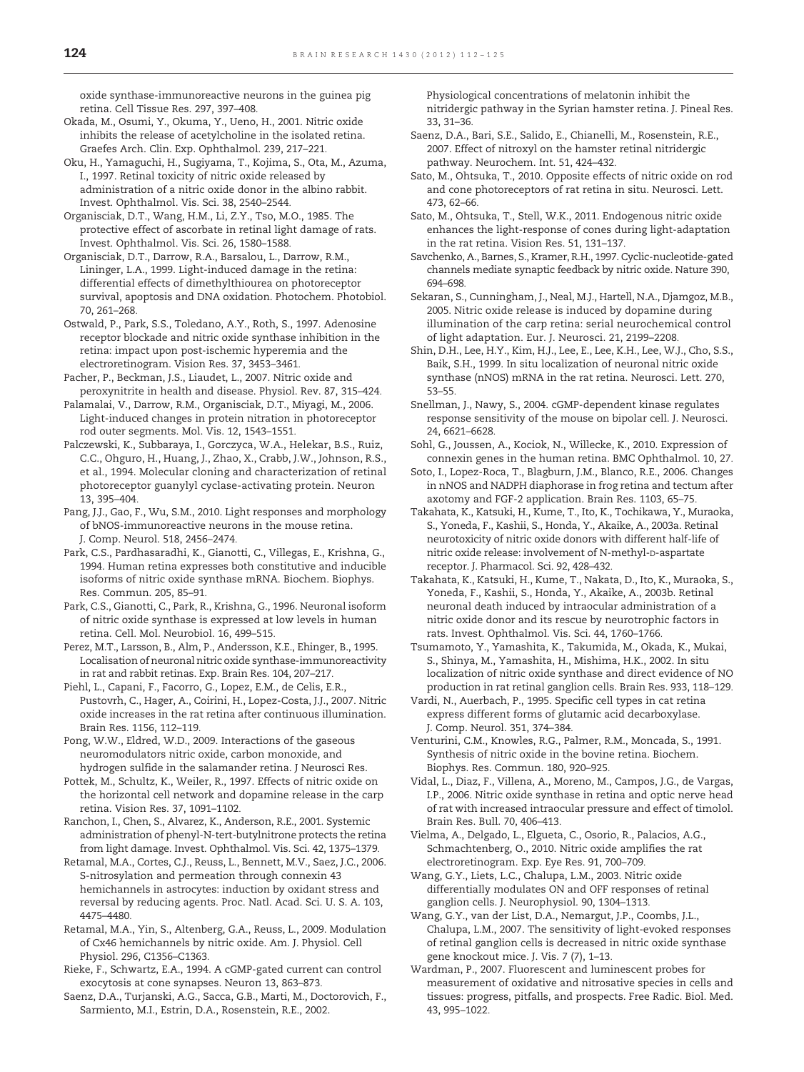<span id="page-12-0"></span>oxide synthase-immunoreactive neurons in the guinea pig retina. Cell Tissue Res. 297, 397–408.

- Okada, M., Osumi, Y., Okuma, Y., Ueno, H., 2001. Nitric oxide inhibits the release of acetylcholine in the isolated retina. Graefes Arch. Clin. Exp. Ophthalmol. 239, 217–221.
- Oku, H., Yamaguchi, H., Sugiyama, T., Kojima, S., Ota, M., Azuma, I., 1997. Retinal toxicity of nitric oxide released by administration of a nitric oxide donor in the albino rabbit. Invest. Ophthalmol. Vis. Sci. 38, 2540–2544.
- Organisciak, D.T., Wang, H.M., Li, Z.Y., Tso, M.O., 1985. The protective effect of ascorbate in retinal light damage of rats. Invest. Ophthalmol. Vis. Sci. 26, 1580–1588.
- Organisciak, D.T., Darrow, R.A., Barsalou, L., Darrow, R.M., Lininger, L.A., 1999. Light-induced damage in the retina: differential effects of dimethylthiourea on photoreceptor survival, apoptosis and DNA oxidation. Photochem. Photobiol. 70, 261–268.
- Ostwald, P., Park, S.S., Toledano, A.Y., Roth, S., 1997. Adenosine receptor blockade and nitric oxide synthase inhibition in the retina: impact upon post-ischemic hyperemia and the electroretinogram. Vision Res. 37, 3453–3461.
- Pacher, P., Beckman, J.S., Liaudet, L., 2007. Nitric oxide and peroxynitrite in health and disease. Physiol. Rev. 87, 315–424.
- Palamalai, V., Darrow, R.M., Organisciak, D.T., Miyagi, M., 2006. Light-induced changes in protein nitration in photoreceptor rod outer segments. Mol. Vis. 12, 1543–1551.
- Palczewski, K., Subbaraya, I., Gorczyca, W.A., Helekar, B.S., Ruiz, C.C., Ohguro, H., Huang, J., Zhao, X., Crabb, J.W., Johnson, R.S., et al., 1994. Molecular cloning and characterization of retinal photoreceptor guanylyl cyclase-activating protein. Neuron 13, 395–404.
- Pang, J.J., Gao, F., Wu, S.M., 2010. Light responses and morphology of bNOS-immunoreactive neurons in the mouse retina. J. Comp. Neurol. 518, 2456–2474.
- Park, C.S., Pardhasaradhi, K., Gianotti, C., Villegas, E., Krishna, G., 1994. Human retina expresses both constitutive and inducible isoforms of nitric oxide synthase mRNA. Biochem. Biophys. Res. Commun. 205, 85–91.
- Park, C.S., Gianotti, C., Park, R., Krishna, G., 1996. Neuronal isoform of nitric oxide synthase is expressed at low levels in human retina. Cell. Mol. Neurobiol. 16, 499–515.
- Perez, M.T., Larsson, B., Alm, P., Andersson, K.E., Ehinger, B., 1995. Localisation of neuronal nitric oxide synthase-immunoreactivity in rat and rabbit retinas. Exp. Brain Res. 104, 207–217.
- Piehl, L., Capani, F., Facorro, G., Lopez, E.M., de Celis, E.R., Pustovrh, C., Hager, A., Coirini, H., Lopez-Costa, J.J., 2007. Nitric oxide increases in the rat retina after continuous illumination. Brain Res. 1156, 112–119.
- Pong, W.W., Eldred, W.D., 2009. Interactions of the gaseous neuromodulators nitric oxide, carbon monoxide, and hydrogen sulfide in the salamander retina. J Neurosci Res.
- Pottek, M., Schultz, K., Weiler, R., 1997. Effects of nitric oxide on the horizontal cell network and dopamine release in the carp retina. Vision Res. 37, 1091–1102.
- Ranchon, I., Chen, S., Alvarez, K., Anderson, R.E., 2001. Systemic administration of phenyl-N-tert-butylnitrone protects the retina from light damage. Invest. Ophthalmol. Vis. Sci. 42, 1375–1379.
- Retamal, M.A., Cortes, C.J., Reuss, L., Bennett, M.V., Saez, J.C., 2006. S-nitrosylation and permeation through connexin 43 hemichannels in astrocytes: induction by oxidant stress and reversal by reducing agents. Proc. Natl. Acad. Sci. U. S. A. 103, 4475–4480.
- Retamal, M.A., Yin, S., Altenberg, G.A., Reuss, L., 2009. Modulation of Cx46 hemichannels by nitric oxide. Am. J. Physiol. Cell Physiol. 296, C1356–C1363.
- Rieke, F., Schwartz, E.A., 1994. A cGMP-gated current can control exocytosis at cone synapses. Neuron 13, 863–873.
- Saenz, D.A., Turjanski, A.G., Sacca, G.B., Marti, M., Doctorovich, F., Sarmiento, M.I., Estrin, D.A., Rosenstein, R.E., 2002.

Physiological concentrations of melatonin inhibit the nitridergic pathway in the Syrian hamster retina. J. Pineal Res. 33, 31–36.

- Saenz, D.A., Bari, S.E., Salido, E., Chianelli, M., Rosenstein, R.E., 2007. Effect of nitroxyl on the hamster retinal nitridergic pathway. Neurochem. Int. 51, 424–432.
- Sato, M., Ohtsuka, T., 2010. Opposite effects of nitric oxide on rod and cone photoreceptors of rat retina in situ. Neurosci. Lett. 473, 62–66.
- Sato, M., Ohtsuka, T., Stell, W.K., 2011. Endogenous nitric oxide enhances the light-response of cones during light-adaptation in the rat retina. Vision Res. 51, 131–137.
- Savchenko, A., Barnes, S., Kramer, R.H., 1997. Cyclic-nucleotide-gated channels mediate synaptic feedback by nitric oxide. Nature 390, 694–698.
- Sekaran, S., Cunningham, J., Neal, M.J., Hartell, N.A., Djamgoz, M.B., 2005. Nitric oxide release is induced by dopamine during illumination of the carp retina: serial neurochemical control of light adaptation. Eur. J. Neurosci. 21, 2199–2208.
- Shin, D.H., Lee, H.Y., Kim, H.J., Lee, E., Lee, K.H., Lee, W.J., Cho, S.S., Baik, S.H., 1999. In situ localization of neuronal nitric oxide synthase (nNOS) mRNA in the rat retina. Neurosci. Lett. 270, 53–55.
- Snellman, J., Nawy, S., 2004. cGMP-dependent kinase regulates response sensitivity of the mouse on bipolar cell. J. Neurosci. 24, 6621–6628.
- Sohl, G., Joussen, A., Kociok, N., Willecke, K., 2010. Expression of connexin genes in the human retina. BMC Ophthalmol. 10, 27.
- Soto, I., Lopez-Roca, T., Blagburn, J.M., Blanco, R.E., 2006. Changes in nNOS and NADPH diaphorase in frog retina and tectum after axotomy and FGF-2 application. Brain Res. 1103, 65–75.
- Takahata, K., Katsuki, H., Kume, T., Ito, K., Tochikawa, Y., Muraoka, S., Yoneda, F., Kashii, S., Honda, Y., Akaike, A., 2003a. Retinal neurotoxicity of nitric oxide donors with different half-life of nitric oxide release: involvement of N-methyl-D-aspartate receptor. J. Pharmacol. Sci. 92, 428–432.
- Takahata, K., Katsuki, H., Kume, T., Nakata, D., Ito, K., Muraoka, S., Yoneda, F., Kashii, S., Honda, Y., Akaike, A., 2003b. Retinal neuronal death induced by intraocular administration of a nitric oxide donor and its rescue by neurotrophic factors in rats. Invest. Ophthalmol. Vis. Sci. 44, 1760–1766.
- Tsumamoto, Y., Yamashita, K., Takumida, M., Okada, K., Mukai, S., Shinya, M., Yamashita, H., Mishima, H.K., 2002. In situ localization of nitric oxide synthase and direct evidence of NO production in rat retinal ganglion cells. Brain Res. 933, 118–129.
- Vardi, N., Auerbach, P., 1995. Specific cell types in cat retina express different forms of glutamic acid decarboxylase. J. Comp. Neurol. 351, 374–384.
- Venturini, C.M., Knowles, R.G., Palmer, R.M., Moncada, S., 1991. Synthesis of nitric oxide in the bovine retina. Biochem. Biophys. Res. Commun. 180, 920–925.
- Vidal, L., Diaz, F., Villena, A., Moreno, M., Campos, J.G., de Vargas, I.P., 2006. Nitric oxide synthase in retina and optic nerve head of rat with increased intraocular pressure and effect of timolol. Brain Res. Bull. 70, 406–413.
- Vielma, A., Delgado, L., Elgueta, C., Osorio, R., Palacios, A.G., Schmachtenberg, O., 2010. Nitric oxide amplifies the rat electroretinogram. Exp. Eye Res. 91, 700–709.
- Wang, G.Y., Liets, L.C., Chalupa, L.M., 2003. Nitric oxide differentially modulates ON and OFF responses of retinal ganglion cells. J. Neurophysiol. 90, 1304–1313.
- Wang, G.Y., van der List, D.A., Nemargut, J.P., Coombs, J.L., Chalupa, L.M., 2007. The sensitivity of light-evoked responses of retinal ganglion cells is decreased in nitric oxide synthase gene knockout mice. J. Vis. 7 (7), 1–13.
- Wardman, P., 2007. Fluorescent and luminescent probes for measurement of oxidative and nitrosative species in cells and tissues: progress, pitfalls, and prospects. Free Radic. Biol. Med. 43, 995–1022.